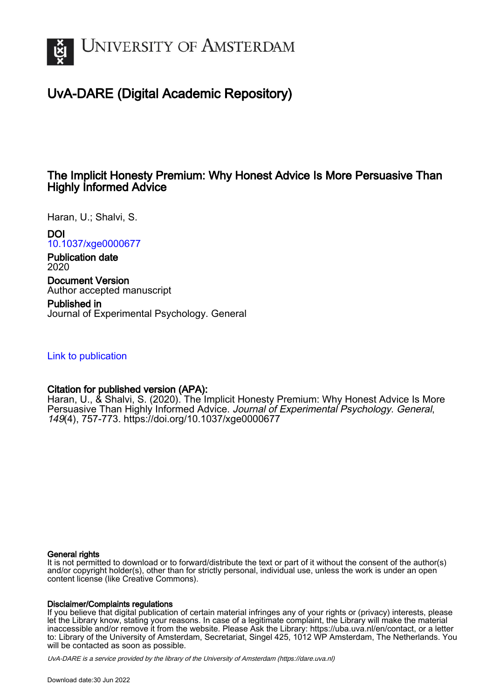

# UvA-DARE (Digital Academic Repository)

## The Implicit Honesty Premium: Why Honest Advice Is More Persuasive Than Highly Informed Advice

Haran, U.; Shalvi, S.

DOI

[10.1037/xge0000677](https://doi.org/10.1037/xge0000677)

Publication date 2020

Document Version Author accepted manuscript

Published in Journal of Experimental Psychology. General

[Link to publication](https://dare.uva.nl/personal/pure/en/publications/the-implicit-honesty-premium-why-honest-advice-is-more-persuasive-than-highly-informed-advice(566dc2d7-7c70-440a-b24c-548dffd3c5ec).html)

## Citation for published version (APA):

Haran, U., & Shalvi, S. (2020). The Implicit Honesty Premium: Why Honest Advice Is More Persuasive Than Highly Informed Advice. Journal of Experimental Psychology. General, 149(4), 757-773.<https://doi.org/10.1037/xge0000677>

#### General rights

It is not permitted to download or to forward/distribute the text or part of it without the consent of the author(s) and/or copyright holder(s), other than for strictly personal, individual use, unless the work is under an open content license (like Creative Commons).

#### Disclaimer/Complaints regulations

If you believe that digital publication of certain material infringes any of your rights or (privacy) interests, please let the Library know, stating your reasons. In case of a legitimate complaint, the Library will make the material inaccessible and/or remove it from the website. Please Ask the Library: https://uba.uva.nl/en/contact, or a letter to: Library of the University of Amsterdam, Secretariat, Singel 425, 1012 WP Amsterdam, The Netherlands. You will be contacted as soon as possible.

UvA-DARE is a service provided by the library of the University of Amsterdam (http*s*://dare.uva.nl)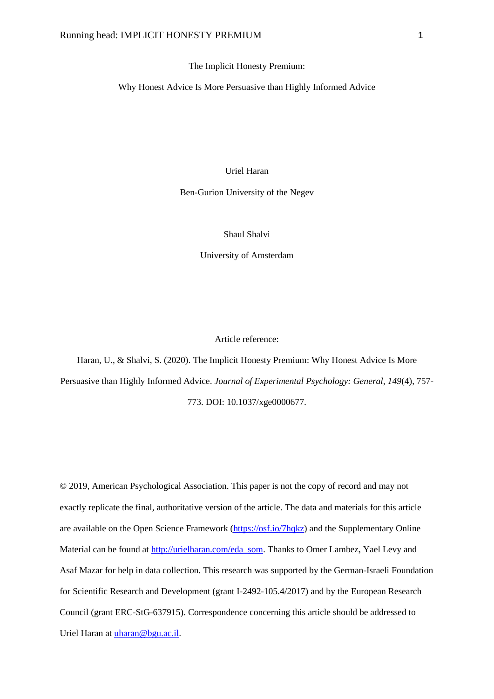#### The Implicit Honesty Premium:

Why Honest Advice Is More Persuasive than Highly Informed Advice

## Uriel Haran

Ben-Gurion University of the Negev

## Shaul Shalvi

University of Amsterdam

## Article reference:

Haran, U., & Shalvi, S. (2020). The Implicit Honesty Premium: Why Honest Advice Is More Persuasive than Highly Informed Advice. *Journal of Experimental Psychology: General, 149*(4), 757- 773. DOI: 10.1037/xge0000677.

© 2019, American Psychological Association. This paper is not the copy of record and may not exactly replicate the final, authoritative version of the article. The data and materials for this article are available on the Open Science Framework [\(https://osf.io/7hqkz\)](https://osf.io/7hqkz) and the Supplementary Online Material can be found at [http://urielharan.com/eda\\_som.](http://urielharan.com/eda_som) Thanks to Omer Lambez, Yael Levy and Asaf Mazar for help in data collection. This research was supported by the German-Israeli Foundation for Scientific Research and Development (grant I-2492-105.4/2017) and by the European Research Council (grant ERC-StG-637915). Correspondence concerning this article should be addressed to Uriel Haran at [uharan@bgu.ac.il.](mailto:uharan@bgu.ac.il)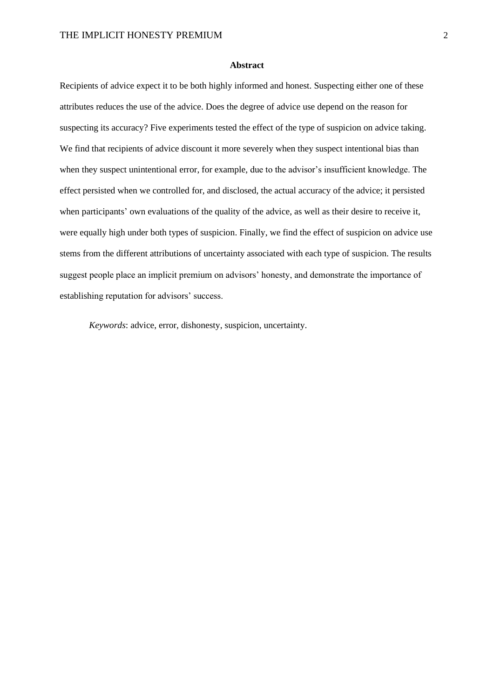#### **Abstract**

Recipients of advice expect it to be both highly informed and honest. Suspecting either one of these attributes reduces the use of the advice. Does the degree of advice use depend on the reason for suspecting its accuracy? Five experiments tested the effect of the type of suspicion on advice taking. We find that recipients of advice discount it more severely when they suspect intentional bias than when they suspect unintentional error, for example, due to the advisor's insufficient knowledge. The effect persisted when we controlled for, and disclosed, the actual accuracy of the advice; it persisted when participants' own evaluations of the quality of the advice, as well as their desire to receive it, were equally high under both types of suspicion. Finally, we find the effect of suspicion on advice use stems from the different attributions of uncertainty associated with each type of suspicion. The results suggest people place an implicit premium on advisors' honesty, and demonstrate the importance of establishing reputation for advisors' success.

*Keywords*: advice, error, dishonesty, suspicion, uncertainty.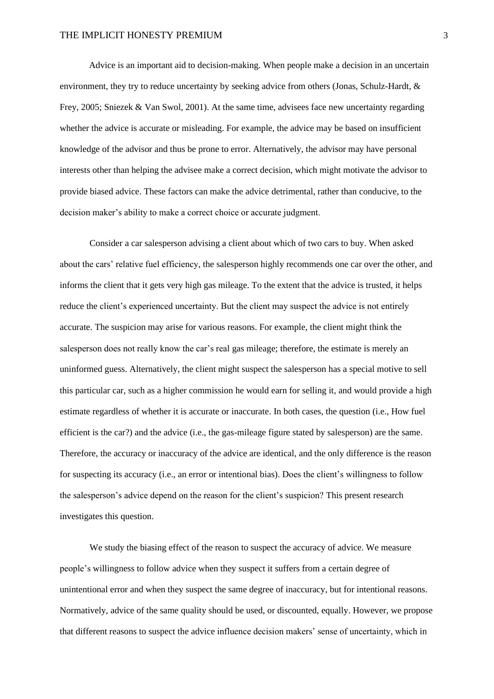Advice is an important aid to decision-making. When people make a decision in an uncertain environment, they try to reduce uncertainty by seeking advice from others (Jonas, Schulz-Hardt, & Frey, 2005; Sniezek & Van Swol, 2001). At the same time, advisees face new uncertainty regarding whether the advice is accurate or misleading. For example, the advice may be based on insufficient knowledge of the advisor and thus be prone to error. Alternatively, the advisor may have personal interests other than helping the advisee make a correct decision, which might motivate the advisor to provide biased advice. These factors can make the advice detrimental, rather than conducive, to the decision maker's ability to make a correct choice or accurate judgment.

Consider a car salesperson advising a client about which of two cars to buy. When asked about the cars' relative fuel efficiency, the salesperson highly recommends one car over the other, and informs the client that it gets very high gas mileage. To the extent that the advice is trusted, it helps reduce the client's experienced uncertainty. But the client may suspect the advice is not entirely accurate. The suspicion may arise for various reasons. For example, the client might think the salesperson does not really know the car's real gas mileage; therefore, the estimate is merely an uninformed guess. Alternatively, the client might suspect the salesperson has a special motive to sell this particular car, such as a higher commission he would earn for selling it, and would provide a high estimate regardless of whether it is accurate or inaccurate. In both cases, the question (i.e., How fuel efficient is the car?) and the advice (i.e., the gas-mileage figure stated by salesperson) are the same. Therefore, the accuracy or inaccuracy of the advice are identical, and the only difference is the reason for suspecting its accuracy (i.e., an error or intentional bias). Does the client's willingness to follow the salesperson's advice depend on the reason for the client's suspicion? This present research investigates this question.

We study the biasing effect of the reason to suspect the accuracy of advice. We measure people's willingness to follow advice when they suspect it suffers from a certain degree of unintentional error and when they suspect the same degree of inaccuracy, but for intentional reasons. Normatively, advice of the same quality should be used, or discounted, equally. However, we propose that different reasons to suspect the advice influence decision makers' sense of uncertainty, which in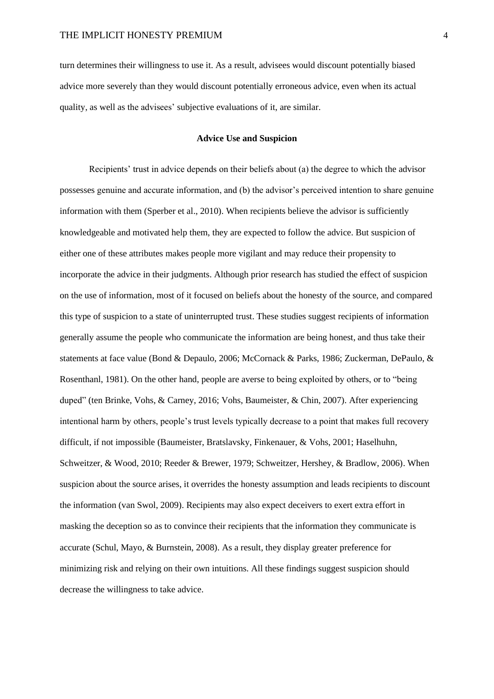turn determines their willingness to use it. As a result, advisees would discount potentially biased advice more severely than they would discount potentially erroneous advice, even when its actual quality, as well as the advisees' subjective evaluations of it, are similar.

#### **Advice Use and Suspicion**

Recipients' trust in advice depends on their beliefs about (a) the degree to which the advisor possesses genuine and accurate information, and (b) the advisor's perceived intention to share genuine information with them (Sperber et al., 2010). When recipients believe the advisor is sufficiently knowledgeable and motivated help them, they are expected to follow the advice. But suspicion of either one of these attributes makes people more vigilant and may reduce their propensity to incorporate the advice in their judgments. Although prior research has studied the effect of suspicion on the use of information, most of it focused on beliefs about the honesty of the source, and compared this type of suspicion to a state of uninterrupted trust. These studies suggest recipients of information generally assume the people who communicate the information are being honest, and thus take their statements at face value (Bond & Depaulo, 2006; McCornack & Parks, 1986; Zuckerman, DePaulo, & Rosenthanl, 1981). On the other hand, people are averse to being exploited by others, or to "being duped" (ten Brinke, Vohs, & Carney, 2016; Vohs, Baumeister, & Chin, 2007). After experiencing intentional harm by others, people's trust levels typically decrease to a point that makes full recovery difficult, if not impossible (Baumeister, Bratslavsky, Finkenauer, & Vohs, 2001; Haselhuhn, Schweitzer, & Wood, 2010; Reeder & Brewer, 1979; Schweitzer, Hershey, & Bradlow, 2006). When suspicion about the source arises, it overrides the honesty assumption and leads recipients to discount the information (van Swol, 2009). Recipients may also expect deceivers to exert extra effort in masking the deception so as to convince their recipients that the information they communicate is accurate (Schul, Mayo, & Burnstein, 2008). As a result, they display greater preference for minimizing risk and relying on their own intuitions. All these findings suggest suspicion should decrease the willingness to take advice.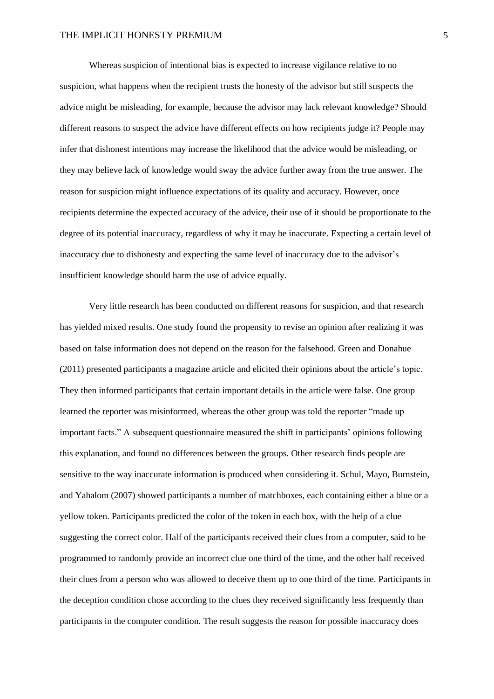Whereas suspicion of intentional bias is expected to increase vigilance relative to no suspicion, what happens when the recipient trusts the honesty of the advisor but still suspects the advice might be misleading, for example, because the advisor may lack relevant knowledge? Should different reasons to suspect the advice have different effects on how recipients judge it? People may infer that dishonest intentions may increase the likelihood that the advice would be misleading, or they may believe lack of knowledge would sway the advice further away from the true answer. The reason for suspicion might influence expectations of its quality and accuracy. However, once recipients determine the expected accuracy of the advice, their use of it should be proportionate to the degree of its potential inaccuracy, regardless of why it may be inaccurate. Expecting a certain level of inaccuracy due to dishonesty and expecting the same level of inaccuracy due to the advisor's insufficient knowledge should harm the use of advice equally.

Very little research has been conducted on different reasons for suspicion, and that research has yielded mixed results. One study found the propensity to revise an opinion after realizing it was based on false information does not depend on the reason for the falsehood. Green and Donahue (2011) presented participants a magazine article and elicited their opinions about the article's topic. They then informed participants that certain important details in the article were false. One group learned the reporter was misinformed, whereas the other group was told the reporter "made up important facts." A subsequent questionnaire measured the shift in participants' opinions following this explanation, and found no differences between the groups. Other research finds people are sensitive to the way inaccurate information is produced when considering it. Schul, Mayo, Burnstein, and Yahalom (2007) showed participants a number of matchboxes, each containing either a blue or a yellow token. Participants predicted the color of the token in each box, with the help of a clue suggesting the correct color. Half of the participants received their clues from a computer, said to be programmed to randomly provide an incorrect clue one third of the time, and the other half received their clues from a person who was allowed to deceive them up to one third of the time. Participants in the deception condition chose according to the clues they received significantly less frequently than participants in the computer condition. The result suggests the reason for possible inaccuracy does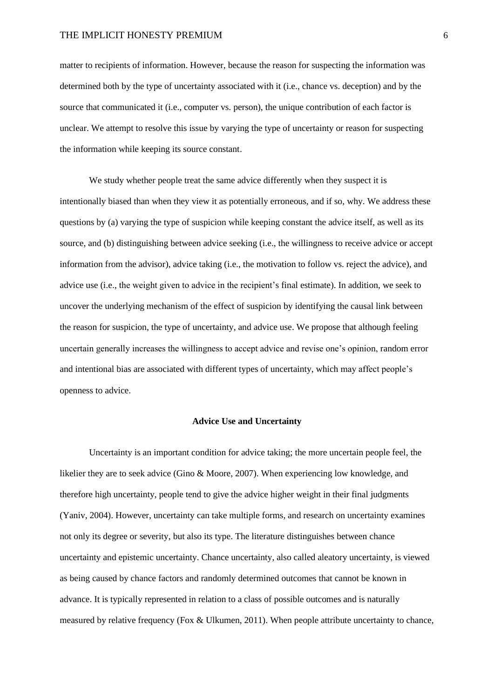matter to recipients of information. However, because the reason for suspecting the information was determined both by the type of uncertainty associated with it (i.e., chance vs. deception) and by the source that communicated it (i.e., computer vs. person), the unique contribution of each factor is unclear. We attempt to resolve this issue by varying the type of uncertainty or reason for suspecting the information while keeping its source constant.

We study whether people treat the same advice differently when they suspect it is intentionally biased than when they view it as potentially erroneous, and if so, why. We address these questions by (a) varying the type of suspicion while keeping constant the advice itself, as well as its source, and (b) distinguishing between advice seeking (i.e., the willingness to receive advice or accept information from the advisor), advice taking (i.e., the motivation to follow vs. reject the advice), and advice use (i.e., the weight given to advice in the recipient's final estimate). In addition, we seek to uncover the underlying mechanism of the effect of suspicion by identifying the causal link between the reason for suspicion, the type of uncertainty, and advice use. We propose that although feeling uncertain generally increases the willingness to accept advice and revise one's opinion, random error and intentional bias are associated with different types of uncertainty, which may affect people's openness to advice.

## **Advice Use and Uncertainty**

Uncertainty is an important condition for advice taking; the more uncertain people feel, the likelier they are to seek advice (Gino & Moore, 2007). When experiencing low knowledge, and therefore high uncertainty, people tend to give the advice higher weight in their final judgments (Yaniv, 2004). However, uncertainty can take multiple forms, and research on uncertainty examines not only its degree or severity, but also its type. The literature distinguishes between chance uncertainty and epistemic uncertainty. Chance uncertainty, also called aleatory uncertainty, is viewed as being caused by chance factors and randomly determined outcomes that cannot be known in advance. It is typically represented in relation to a class of possible outcomes and is naturally measured by relative frequency (Fox & Ulkumen, 2011). When people attribute uncertainty to chance,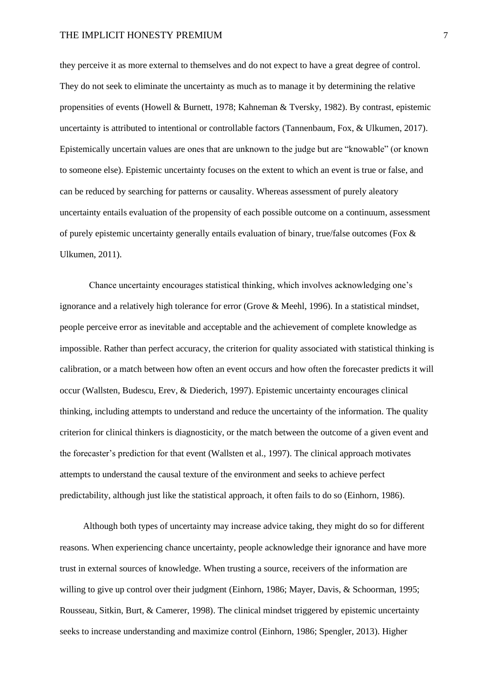they perceive it as more external to themselves and do not expect to have a great degree of control. They do not seek to eliminate the uncertainty as much as to manage it by determining the relative propensities of events (Howell & Burnett, 1978; Kahneman & Tversky, 1982). By contrast, epistemic uncertainty is attributed to intentional or controllable factors (Tannenbaum, Fox, & Ulkumen, 2017). Epistemically uncertain values are ones that are unknown to the judge but are "knowable" (or known to someone else). Epistemic uncertainty focuses on the extent to which an event is true or false, and can be reduced by searching for patterns or causality. Whereas assessment of purely aleatory uncertainty entails evaluation of the propensity of each possible outcome on a continuum, assessment of purely epistemic uncertainty generally entails evaluation of binary, true/false outcomes (Fox & Ulkumen, 2011).

Chance uncertainty encourages statistical thinking, which involves acknowledging one's ignorance and a relatively high tolerance for error (Grove & Meehl, 1996). In a statistical mindset, people perceive error as inevitable and acceptable and the achievement of complete knowledge as impossible. Rather than perfect accuracy, the criterion for quality associated with statistical thinking is calibration, or a match between how often an event occurs and how often the forecaster predicts it will occur (Wallsten, Budescu, Erev, & Diederich, 1997). Epistemic uncertainty encourages clinical thinking, including attempts to understand and reduce the uncertainty of the information. The quality criterion for clinical thinkers is diagnosticity, or the match between the outcome of a given event and the forecaster's prediction for that event (Wallsten et al., 1997). The clinical approach motivates attempts to understand the causal texture of the environment and seeks to achieve perfect predictability, although just like the statistical approach, it often fails to do so (Einhorn, 1986).

Although both types of uncertainty may increase advice taking, they might do so for different reasons. When experiencing chance uncertainty, people acknowledge their ignorance and have more trust in external sources of knowledge. When trusting a source, receivers of the information are willing to give up control over their judgment (Einhorn, 1986; Mayer, Davis, & Schoorman, 1995; Rousseau, Sitkin, Burt, & Camerer, 1998). The clinical mindset triggered by epistemic uncertainty seeks to increase understanding and maximize control (Einhorn, 1986; Spengler, 2013). Higher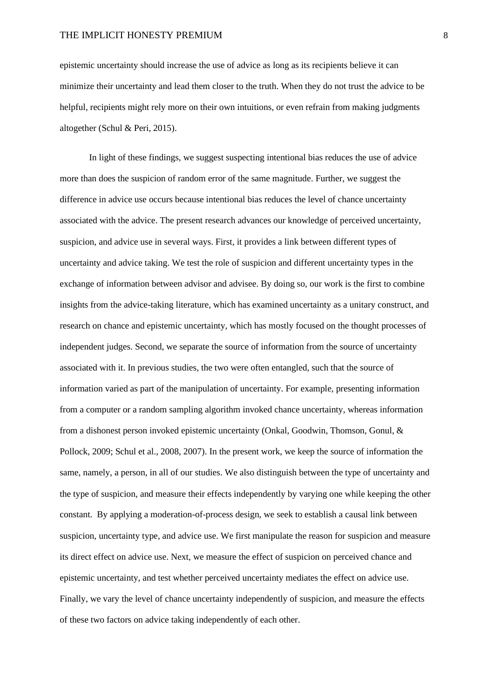epistemic uncertainty should increase the use of advice as long as its recipients believe it can minimize their uncertainty and lead them closer to the truth. When they do not trust the advice to be helpful, recipients might rely more on their own intuitions, or even refrain from making judgments altogether (Schul & Peri, 2015).

In light of these findings, we suggest suspecting intentional bias reduces the use of advice more than does the suspicion of random error of the same magnitude. Further, we suggest the difference in advice use occurs because intentional bias reduces the level of chance uncertainty associated with the advice. The present research advances our knowledge of perceived uncertainty, suspicion, and advice use in several ways. First, it provides a link between different types of uncertainty and advice taking. We test the role of suspicion and different uncertainty types in the exchange of information between advisor and advisee. By doing so, our work is the first to combine insights from the advice-taking literature, which has examined uncertainty as a unitary construct, and research on chance and epistemic uncertainty, which has mostly focused on the thought processes of independent judges. Second, we separate the source of information from the source of uncertainty associated with it. In previous studies, the two were often entangled, such that the source of information varied as part of the manipulation of uncertainty. For example, presenting information from a computer or a random sampling algorithm invoked chance uncertainty, whereas information from a dishonest person invoked epistemic uncertainty (Onkal, Goodwin, Thomson, Gonul, & Pollock, 2009; Schul et al., 2008, 2007). In the present work, we keep the source of information the same, namely, a person, in all of our studies. We also distinguish between the type of uncertainty and the type of suspicion, and measure their effects independently by varying one while keeping the other constant. By applying a moderation-of-process design, we seek to establish a causal link between suspicion, uncertainty type, and advice use. We first manipulate the reason for suspicion and measure its direct effect on advice use. Next, we measure the effect of suspicion on perceived chance and epistemic uncertainty, and test whether perceived uncertainty mediates the effect on advice use. Finally, we vary the level of chance uncertainty independently of suspicion, and measure the effects of these two factors on advice taking independently of each other.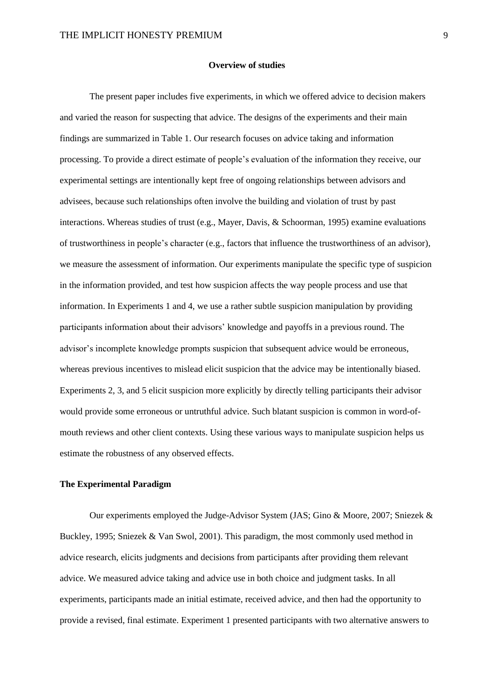#### **Overview of studies**

The present paper includes five experiments, in which we offered advice to decision makers and varied the reason for suspecting that advice. The designs of the experiments and their main findings are summarized in Table 1. Our research focuses on advice taking and information processing. To provide a direct estimate of people's evaluation of the information they receive, our experimental settings are intentionally kept free of ongoing relationships between advisors and advisees, because such relationships often involve the building and violation of trust by past interactions. Whereas studies of trust (e.g., Mayer, Davis, & Schoorman, 1995) examine evaluations of trustworthiness in people's character (e.g., factors that influence the trustworthiness of an advisor), we measure the assessment of information. Our experiments manipulate the specific type of suspicion in the information provided, and test how suspicion affects the way people process and use that information. In Experiments 1 and 4, we use a rather subtle suspicion manipulation by providing participants information about their advisors' knowledge and payoffs in a previous round. The advisor's incomplete knowledge prompts suspicion that subsequent advice would be erroneous, whereas previous incentives to mislead elicit suspicion that the advice may be intentionally biased. Experiments 2, 3, and 5 elicit suspicion more explicitly by directly telling participants their advisor would provide some erroneous or untruthful advice. Such blatant suspicion is common in word-ofmouth reviews and other client contexts. Using these various ways to manipulate suspicion helps us estimate the robustness of any observed effects.

#### **The Experimental Paradigm**

Our experiments employed the Judge-Advisor System (JAS; Gino & Moore, 2007; Sniezek & Buckley, 1995; Sniezek & Van Swol, 2001). This paradigm, the most commonly used method in advice research, elicits judgments and decisions from participants after providing them relevant advice. We measured advice taking and advice use in both choice and judgment tasks. In all experiments, participants made an initial estimate, received advice, and then had the opportunity to provide a revised, final estimate. Experiment 1 presented participants with two alternative answers to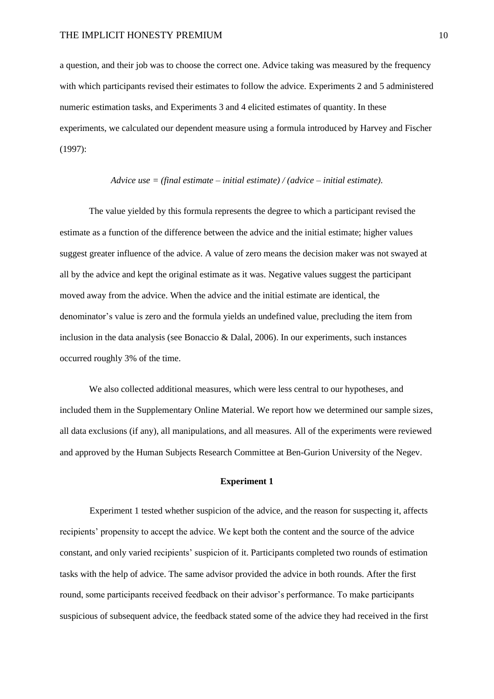a question, and their job was to choose the correct one. Advice taking was measured by the frequency with which participants revised their estimates to follow the advice. Experiments 2 and 5 administered numeric estimation tasks, and Experiments 3 and 4 elicited estimates of quantity. In these experiments, we calculated our dependent measure using a formula introduced by Harvey and Fischer (1997):

## *Advice use = (final estimate – initial estimate) / (advice – initial estimate).*

The value yielded by this formula represents the degree to which a participant revised the estimate as a function of the difference between the advice and the initial estimate; higher values suggest greater influence of the advice. A value of zero means the decision maker was not swayed at all by the advice and kept the original estimate as it was. Negative values suggest the participant moved away from the advice. When the advice and the initial estimate are identical, the denominator's value is zero and the formula yields an undefined value, precluding the item from inclusion in the data analysis (see Bonaccio & Dalal, 2006). In our experiments, such instances occurred roughly 3% of the time.

We also collected additional measures, which were less central to our hypotheses, and included them in the Supplementary Online Material. We report how we determined our sample sizes, all data exclusions (if any), all manipulations, and all measures. All of the experiments were reviewed and approved by the Human Subjects Research Committee at Ben-Gurion University of the Negev.

#### **Experiment 1**

Experiment 1 tested whether suspicion of the advice, and the reason for suspecting it, affects recipients' propensity to accept the advice. We kept both the content and the source of the advice constant, and only varied recipients' suspicion of it. Participants completed two rounds of estimation tasks with the help of advice. The same advisor provided the advice in both rounds. After the first round, some participants received feedback on their advisor's performance. To make participants suspicious of subsequent advice, the feedback stated some of the advice they had received in the first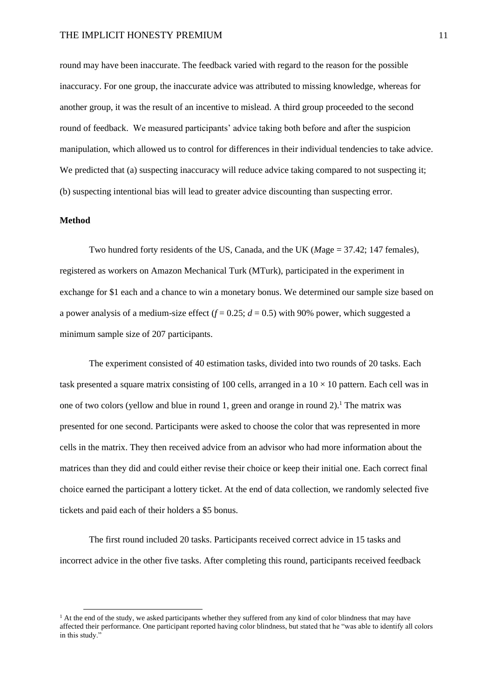round may have been inaccurate. The feedback varied with regard to the reason for the possible inaccuracy. For one group, the inaccurate advice was attributed to missing knowledge, whereas for another group, it was the result of an incentive to mislead. A third group proceeded to the second round of feedback. We measured participants' advice taking both before and after the suspicion manipulation, which allowed us to control for differences in their individual tendencies to take advice. We predicted that (a) suspecting inaccuracy will reduce advice taking compared to not suspecting it; (b) suspecting intentional bias will lead to greater advice discounting than suspecting error.

## **Method**

Two hundred forty residents of the US, Canada, and the UK (*M*age = 37.42; 147 females), registered as workers on Amazon Mechanical Turk (MTurk), participated in the experiment in exchange for \$1 each and a chance to win a monetary bonus. We determined our sample size based on a power analysis of a medium-size effect  $(f = 0.25; d = 0.5)$  with 90% power, which suggested a minimum sample size of 207 participants.

The experiment consisted of 40 estimation tasks, divided into two rounds of 20 tasks. Each task presented a square matrix consisting of 100 cells, arranged in a  $10 \times 10$  pattern. Each cell was in one of two colors (yellow and blue in round 1, green and orange in round  $2$ ).<sup>1</sup> The matrix was presented for one second. Participants were asked to choose the color that was represented in more cells in the matrix. They then received advice from an advisor who had more information about the matrices than they did and could either revise their choice or keep their initial one. Each correct final choice earned the participant a lottery ticket. At the end of data collection, we randomly selected five tickets and paid each of their holders a \$5 bonus.

The first round included 20 tasks. Participants received correct advice in 15 tasks and incorrect advice in the other five tasks. After completing this round, participants received feedback

 $<sup>1</sup>$  At the end of the study, we asked participants whether they suffered from any kind of color blindness that may have</sup> affected their performance. One participant reported having color blindness, but stated that he "was able to identify all colors in this study.'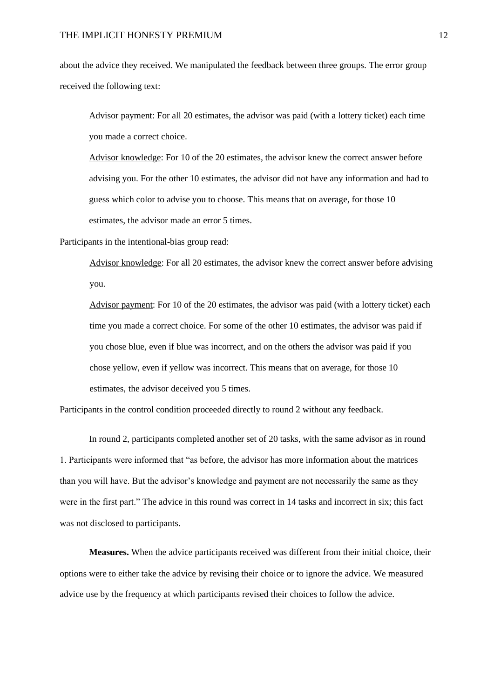about the advice they received. We manipulated the feedback between three groups. The error group received the following text:

Advisor payment: For all 20 estimates, the advisor was paid (with a lottery ticket) each time you made a correct choice.

Advisor knowledge: For 10 of the 20 estimates, the advisor knew the correct answer before advising you. For the other 10 estimates, the advisor did not have any information and had to guess which color to advise you to choose. This means that on average, for those 10 estimates, the advisor made an error 5 times.

Participants in the intentional-bias group read:

Advisor knowledge: For all 20 estimates, the advisor knew the correct answer before advising you.

Advisor payment: For 10 of the 20 estimates, the advisor was paid (with a lottery ticket) each time you made a correct choice. For some of the other 10 estimates, the advisor was paid if you chose blue, even if blue was incorrect, and on the others the advisor was paid if you chose yellow, even if yellow was incorrect. This means that on average, for those 10 estimates, the advisor deceived you 5 times.

Participants in the control condition proceeded directly to round 2 without any feedback.

In round 2, participants completed another set of 20 tasks, with the same advisor as in round 1. Participants were informed that "as before, the advisor has more information about the matrices than you will have. But the advisor's knowledge and payment are not necessarily the same as they were in the first part." The advice in this round was correct in 14 tasks and incorrect in six; this fact was not disclosed to participants.

**Measures.** When the advice participants received was different from their initial choice, their options were to either take the advice by revising their choice or to ignore the advice. We measured advice use by the frequency at which participants revised their choices to follow the advice.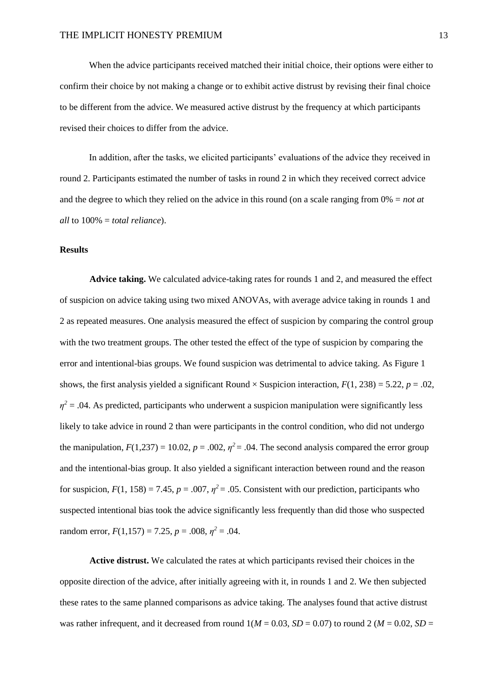When the advice participants received matched their initial choice, their options were either to confirm their choice by not making a change or to exhibit active distrust by revising their final choice to be different from the advice. We measured active distrust by the frequency at which participants revised their choices to differ from the advice.

In addition, after the tasks, we elicited participants' evaluations of the advice they received in round 2. Participants estimated the number of tasks in round 2 in which they received correct advice and the degree to which they relied on the advice in this round (on a scale ranging from 0% = *not at all* to 100% = *total reliance*).

## **Results**

**Advice taking.** We calculated advice-taking rates for rounds 1 and 2, and measured the effect of suspicion on advice taking using two mixed ANOVAs, with average advice taking in rounds 1 and 2 as repeated measures. One analysis measured the effect of suspicion by comparing the control group with the two treatment groups. The other tested the effect of the type of suspicion by comparing the error and intentional-bias groups. We found suspicion was detrimental to advice taking. As Figure 1 shows, the first analysis yielded a significant Round  $\times$  Suspicion interaction,  $F(1, 238) = 5.22$ ,  $p = .02$ ,  $\eta^2$  = .04. As predicted, participants who underwent a suspicion manipulation were significantly less likely to take advice in round 2 than were participants in the control condition, who did not undergo the manipulation,  $F(1,237) = 10.02$ ,  $p = .002$ ,  $\eta^2 = .04$ . The second analysis compared the error group and the intentional-bias group. It also yielded a significant interaction between round and the reason for suspicion,  $F(1, 158) = 7.45$ ,  $p = .007$ ,  $\eta^2 = .05$ . Consistent with our prediction, participants who suspected intentional bias took the advice significantly less frequently than did those who suspected random error,  $F(1,157) = 7.25$ ,  $p = .008$ ,  $\eta^2 = .04$ .

**Active distrust.** We calculated the rates at which participants revised their choices in the opposite direction of the advice, after initially agreeing with it, in rounds 1 and 2. We then subjected these rates to the same planned comparisons as advice taking. The analyses found that active distrust was rather infrequent, and it decreased from round  $1(M = 0.03, SD = 0.07)$  to round 2 ( $M = 0.02, SD =$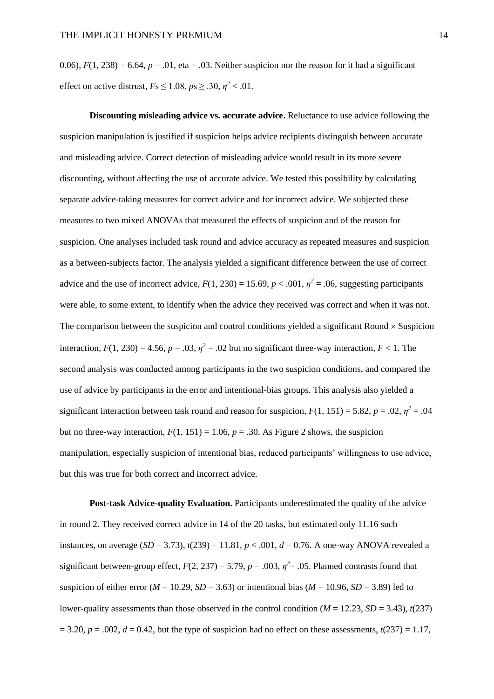0.06),  $F(1, 238) = 6.64$ ,  $p = .01$ , eta = .03. Neither suspicion nor the reason for it had a significant effect on active distrust,  $Fs \le 1.08$ ,  $ps \ge .30$ ,  $\eta^2 < .01$ .

**Discounting misleading advice vs. accurate advice.** Reluctance to use advice following the suspicion manipulation is justified if suspicion helps advice recipients distinguish between accurate and misleading advice. Correct detection of misleading advice would result in its more severe discounting, without affecting the use of accurate advice. We tested this possibility by calculating separate advice-taking measures for correct advice and for incorrect advice. We subjected these measures to two mixed ANOVAs that measured the effects of suspicion and of the reason for suspicion. One analyses included task round and advice accuracy as repeated measures and suspicion as a between-subjects factor. The analysis yielded a significant difference between the use of correct advice and the use of incorrect advice,  $F(1, 230) = 15.69$ ,  $p < .001$ ,  $\eta^2 = .06$ , suggesting participants were able, to some extent, to identify when the advice they received was correct and when it was not. The comparison between the suspicion and control conditions yielded a significant Round  $\times$  Suspicion interaction,  $F(1, 230) = 4.56$ ,  $p = .03$ ,  $\eta^2 = .02$  but no significant three-way interaction,  $F < 1$ . The second analysis was conducted among participants in the two suspicion conditions, and compared the use of advice by participants in the error and intentional-bias groups. This analysis also yielded a significant interaction between task round and reason for suspicion,  $F(1, 151) = 5.82$ ,  $p = .02$ ,  $\eta^2 = .04$ but no three-way interaction,  $F(1, 151) = 1.06$ ,  $p = .30$ . As Figure 2 shows, the suspicion manipulation, especially suspicion of intentional bias, reduced participants' willingness to use advice, but this was true for both correct and incorrect advice.

**Post-task Advice-quality Evaluation.** Participants underestimated the quality of the advice in round 2. They received correct advice in 14 of the 20 tasks, but estimated only 11.16 such instances, on average (*SD* = 3.73),  $t(239) = 11.81, p < .001, d = 0.76$ . A one-way ANOVA revealed a significant between-group effect,  $F(2, 237) = 5.79$ ,  $p = .003$ ,  $\eta^2 = .05$ . Planned contrasts found that suspicion of either error ( $M = 10.29$ ,  $SD = 3.63$ ) or intentional bias ( $M = 10.96$ ,  $SD = 3.89$ ) led to lower-quality assessments than those observed in the control condition ( $M = 12.23$ ,  $SD = 3.43$ ),  $t(237)$  $= 3.20, p = .002, d = 0.42$ , but the type of suspicion had no effect on these assessments,  $t(237) = 1.17$ ,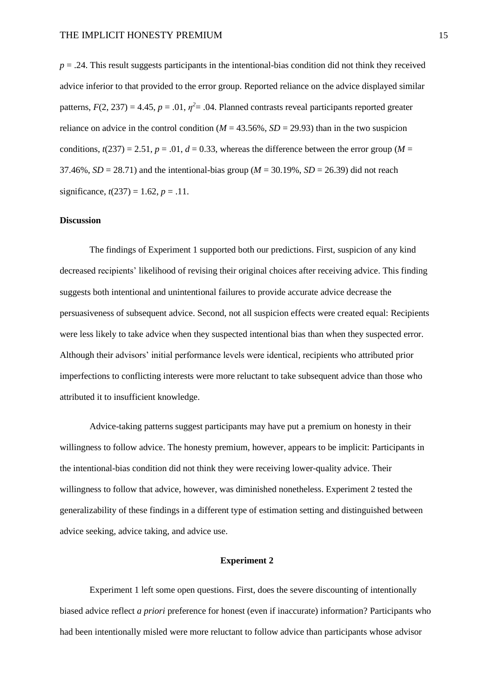*p* = .24. This result suggests participants in the intentional-bias condition did not think they received advice inferior to that provided to the error group. Reported reliance on the advice displayed similar patterns,  $F(2, 237) = 4.45$ ,  $p = .01$ ,  $\eta^2 = .04$ . Planned contrasts reveal participants reported greater reliance on advice in the control condition ( $M = 43.56\%$ ,  $SD = 29.93$ ) than in the two suspicion conditions,  $t(237) = 2.51$ ,  $p = .01$ ,  $d = 0.33$ , whereas the difference between the error group (*M* = 37.46%,  $SD = 28.71$ ) and the intentional-bias group ( $M = 30.19\%$ ,  $SD = 26.39$ ) did not reach significance,  $t(237) = 1.62$ ,  $p = .11$ .

## **Discussion**

The findings of Experiment 1 supported both our predictions. First, suspicion of any kind decreased recipients' likelihood of revising their original choices after receiving advice. This finding suggests both intentional and unintentional failures to provide accurate advice decrease the persuasiveness of subsequent advice. Second, not all suspicion effects were created equal: Recipients were less likely to take advice when they suspected intentional bias than when they suspected error. Although their advisors' initial performance levels were identical, recipients who attributed prior imperfections to conflicting interests were more reluctant to take subsequent advice than those who attributed it to insufficient knowledge.

Advice-taking patterns suggest participants may have put a premium on honesty in their willingness to follow advice. The honesty premium, however, appears to be implicit: Participants in the intentional-bias condition did not think they were receiving lower-quality advice. Their willingness to follow that advice, however, was diminished nonetheless. Experiment 2 tested the generalizability of these findings in a different type of estimation setting and distinguished between advice seeking, advice taking, and advice use.

## **Experiment 2**

Experiment 1 left some open questions. First, does the severe discounting of intentionally biased advice reflect *a priori* preference for honest (even if inaccurate) information? Participants who had been intentionally misled were more reluctant to follow advice than participants whose advisor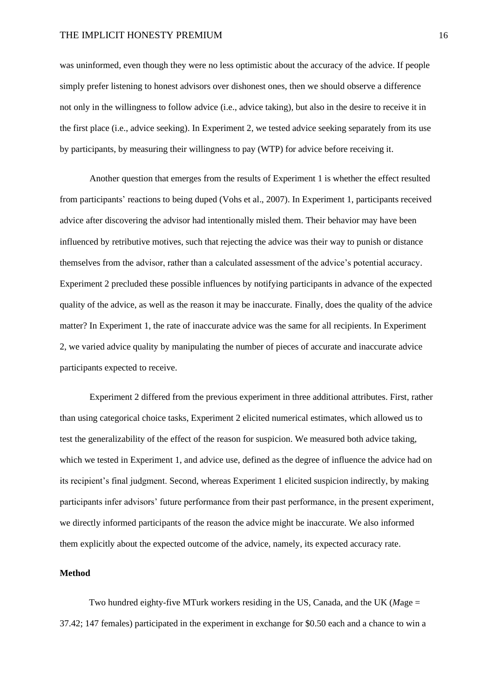was uninformed, even though they were no less optimistic about the accuracy of the advice. If people simply prefer listening to honest advisors over dishonest ones, then we should observe a difference not only in the willingness to follow advice (i.e., advice taking), but also in the desire to receive it in the first place (i.e., advice seeking). In Experiment 2, we tested advice seeking separately from its use by participants, by measuring their willingness to pay (WTP) for advice before receiving it.

Another question that emerges from the results of Experiment 1 is whether the effect resulted from participants' reactions to being duped (Vohs et al., 2007). In Experiment 1, participants received advice after discovering the advisor had intentionally misled them. Their behavior may have been influenced by retributive motives, such that rejecting the advice was their way to punish or distance themselves from the advisor, rather than a calculated assessment of the advice's potential accuracy. Experiment 2 precluded these possible influences by notifying participants in advance of the expected quality of the advice, as well as the reason it may be inaccurate. Finally, does the quality of the advice matter? In Experiment 1, the rate of inaccurate advice was the same for all recipients. In Experiment 2, we varied advice quality by manipulating the number of pieces of accurate and inaccurate advice participants expected to receive.

Experiment 2 differed from the previous experiment in three additional attributes. First, rather than using categorical choice tasks, Experiment 2 elicited numerical estimates, which allowed us to test the generalizability of the effect of the reason for suspicion. We measured both advice taking, which we tested in Experiment 1, and advice use, defined as the degree of influence the advice had on its recipient's final judgment. Second, whereas Experiment 1 elicited suspicion indirectly, by making participants infer advisors' future performance from their past performance, in the present experiment, we directly informed participants of the reason the advice might be inaccurate. We also informed them explicitly about the expected outcome of the advice, namely, its expected accuracy rate.

#### **Method**

Two hundred eighty-five MTurk workers residing in the US, Canada, and the UK (*M*age = 37.42; 147 females) participated in the experiment in exchange for \$0.50 each and a chance to win a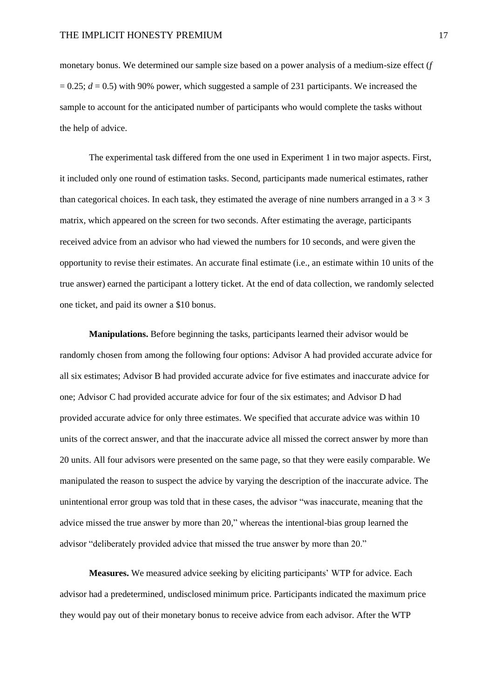monetary bonus. We determined our sample size based on a power analysis of a medium-size effect (*f*  $= 0.25$ ;  $d = 0.5$ ) with 90% power, which suggested a sample of 231 participants. We increased the sample to account for the anticipated number of participants who would complete the tasks without the help of advice.

The experimental task differed from the one used in Experiment 1 in two major aspects. First, it included only one round of estimation tasks. Second, participants made numerical estimates, rather than categorical choices. In each task, they estimated the average of nine numbers arranged in a  $3 \times 3$ matrix, which appeared on the screen for two seconds. After estimating the average, participants received advice from an advisor who had viewed the numbers for 10 seconds, and were given the opportunity to revise their estimates. An accurate final estimate (i.e., an estimate within 10 units of the true answer) earned the participant a lottery ticket. At the end of data collection, we randomly selected one ticket, and paid its owner a \$10 bonus.

**Manipulations.** Before beginning the tasks, participants learned their advisor would be randomly chosen from among the following four options: Advisor A had provided accurate advice for all six estimates; Advisor B had provided accurate advice for five estimates and inaccurate advice for one; Advisor C had provided accurate advice for four of the six estimates; and Advisor D had provided accurate advice for only three estimates. We specified that accurate advice was within 10 units of the correct answer, and that the inaccurate advice all missed the correct answer by more than 20 units. All four advisors were presented on the same page, so that they were easily comparable. We manipulated the reason to suspect the advice by varying the description of the inaccurate advice. The unintentional error group was told that in these cases, the advisor "was inaccurate, meaning that the advice missed the true answer by more than 20," whereas the intentional-bias group learned the advisor "deliberately provided advice that missed the true answer by more than 20."

**Measures.** We measured advice seeking by eliciting participants' WTP for advice. Each advisor had a predetermined, undisclosed minimum price. Participants indicated the maximum price they would pay out of their monetary bonus to receive advice from each advisor. After the WTP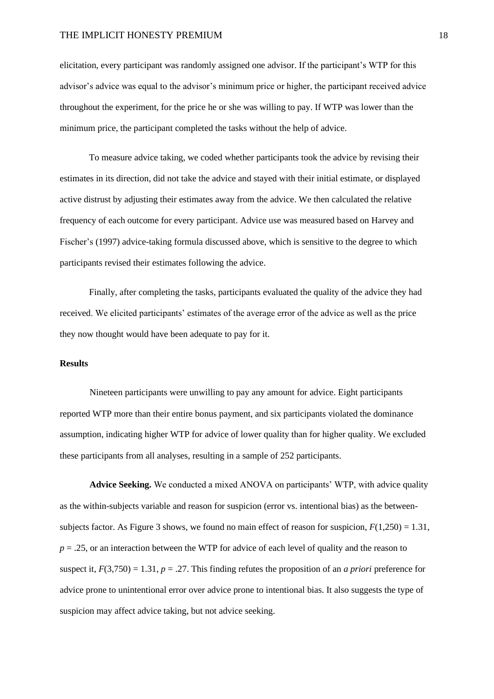elicitation, every participant was randomly assigned one advisor. If the participant's WTP for this advisor's advice was equal to the advisor's minimum price or higher, the participant received advice throughout the experiment, for the price he or she was willing to pay. If WTP was lower than the minimum price, the participant completed the tasks without the help of advice.

To measure advice taking, we coded whether participants took the advice by revising their estimates in its direction, did not take the advice and stayed with their initial estimate, or displayed active distrust by adjusting their estimates away from the advice. We then calculated the relative frequency of each outcome for every participant. Advice use was measured based on Harvey and Fischer's (1997) advice-taking formula discussed above, which is sensitive to the degree to which participants revised their estimates following the advice.

Finally, after completing the tasks, participants evaluated the quality of the advice they had received. We elicited participants' estimates of the average error of the advice as well as the price they now thought would have been adequate to pay for it.

## **Results**

Nineteen participants were unwilling to pay any amount for advice. Eight participants reported WTP more than their entire bonus payment, and six participants violated the dominance assumption, indicating higher WTP for advice of lower quality than for higher quality. We excluded these participants from all analyses, resulting in a sample of 252 participants.

**Advice Seeking.** We conducted a mixed ANOVA on participants' WTP, with advice quality as the within-subjects variable and reason for suspicion (error vs. intentional bias) as the betweensubjects factor. As Figure 3 shows, we found no main effect of reason for suspicion,  $F(1,250) = 1.31$ , *p* = .25, or an interaction between the WTP for advice of each level of quality and the reason to suspect it,  $F(3,750) = 1.31$ ,  $p = .27$ . This finding refutes the proposition of an *a priori* preference for advice prone to unintentional error over advice prone to intentional bias. It also suggests the type of suspicion may affect advice taking, but not advice seeking.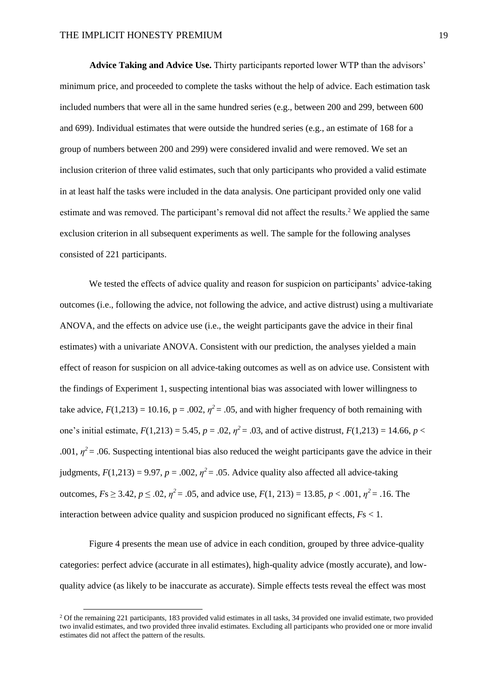**Advice Taking and Advice Use.** Thirty participants reported lower WTP than the advisors' minimum price, and proceeded to complete the tasks without the help of advice. Each estimation task included numbers that were all in the same hundred series (e.g., between 200 and 299, between 600 and 699). Individual estimates that were outside the hundred series (e.g., an estimate of 168 for a group of numbers between 200 and 299) were considered invalid and were removed. We set an inclusion criterion of three valid estimates, such that only participants who provided a valid estimate in at least half the tasks were included in the data analysis. One participant provided only one valid estimate and was removed. The participant's removal did not affect the results.<sup>2</sup> We applied the same exclusion criterion in all subsequent experiments as well. The sample for the following analyses consisted of 221 participants.

We tested the effects of advice quality and reason for suspicion on participants' advice-taking outcomes (i.e., following the advice, not following the advice, and active distrust) using a multivariate ANOVA, and the effects on advice use (i.e., the weight participants gave the advice in their final estimates) with a univariate ANOVA. Consistent with our prediction, the analyses yielded a main effect of reason for suspicion on all advice-taking outcomes as well as on advice use. Consistent with the findings of Experiment 1, suspecting intentional bias was associated with lower willingness to take advice,  $F(1,213) = 10.16$ ,  $p = .002$ ,  $\eta^2 = .05$ , and with higher frequency of both remaining with one's initial estimate,  $F(1,213) = 5.45$ ,  $p = .02$ ,  $\eta^2 = .03$ , and of active distrust,  $F(1,213) = 14.66$ ,  $p <$ .001,  $\eta^2$  = .06. Suspecting intentional bias also reduced the weight participants gave the advice in their judgments,  $F(1,213) = 9.97$ ,  $p = .002$ ,  $\eta^2 = .05$ . Advice quality also affected all advice-taking outcomes,  $Fs \geq 3.42$ ,  $p \leq .02$ ,  $\eta^2 = .05$ , and advice use,  $F(1, 213) = 13.85$ ,  $p < .001$ ,  $\eta^2 = .16$ . The interaction between advice quality and suspicion produced no significant effects, *F*s < 1.

Figure 4 presents the mean use of advice in each condition, grouped by three advice-quality categories: perfect advice (accurate in all estimates), high-quality advice (mostly accurate), and lowquality advice (as likely to be inaccurate as accurate). Simple effects tests reveal the effect was most

<sup>2</sup> Of the remaining 221 participants, 183 provided valid estimates in all tasks, 34 provided one invalid estimate, two provided two invalid estimates, and two provided three invalid estimates. Excluding all participants who provided one or more invalid estimates did not affect the pattern of the results.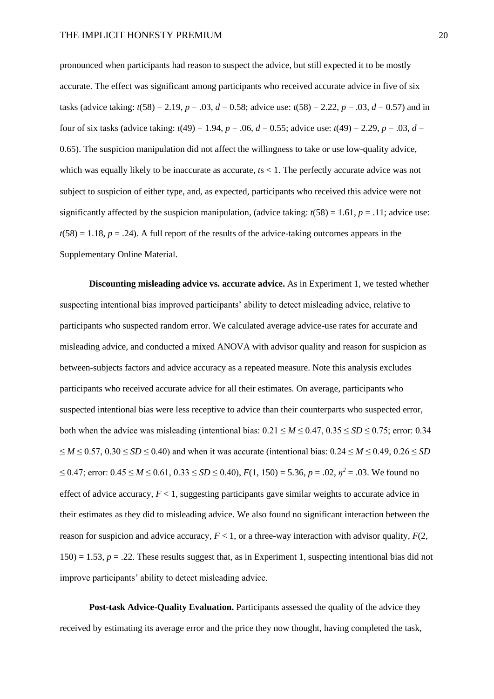pronounced when participants had reason to suspect the advice, but still expected it to be mostly accurate. The effect was significant among participants who received accurate advice in five of six tasks (advice taking:  $t(58) = 2.19$ ,  $p = .03$ ,  $d = 0.58$ ; advice use:  $t(58) = 2.22$ ,  $p = .03$ ,  $d = 0.57$ ) and in four of six tasks (advice taking:  $t(49) = 1.94$ ,  $p = .06$ ,  $d = 0.55$ ; advice use:  $t(49) = 2.29$ ,  $p = .03$ ,  $d =$ 0.65). The suspicion manipulation did not affect the willingness to take or use low-quality advice, which was equally likely to be inaccurate as accurate, *t*s < 1. The perfectly accurate advice was not subject to suspicion of either type, and, as expected, participants who received this advice were not significantly affected by the suspicion manipulation, (advice taking:  $t(58) = 1.61$ ,  $p = .11$ ; advice use:  $t(58) = 1.18$ ,  $p = .24$ ). A full report of the results of the advice-taking outcomes appears in the Supplementary Online Material.

**Discounting misleading advice vs. accurate advice.** As in Experiment 1, we tested whether suspecting intentional bias improved participants' ability to detect misleading advice, relative to participants who suspected random error. We calculated average advice-use rates for accurate and misleading advice, and conducted a mixed ANOVA with advisor quality and reason for suspicion as between-subjects factors and advice accuracy as a repeated measure. Note this analysis excludes participants who received accurate advice for all their estimates. On average, participants who suspected intentional bias were less receptive to advice than their counterparts who suspected error, both when the advice was misleading (intentional bias:  $0.21 \le M \le 0.47$ ,  $0.35 \le SD \le 0.75$ ; error: 0.34 ≤ *M* ≤ 0.57, 0.30 ≤ *SD* ≤ 0.40) and when it was accurate (intentional bias: 0.24 ≤ *M* ≤ 0.49, 0.26 ≤ *SD*   $≤ 0.47$ ; error:  $0.45 ≤ M ≤ 0.61, 0.33 ≤ SD ≤ 0.40$ ),  $F(1, 150) = 5.36, p = .02, \eta^2 = .03$ . We found no effect of advice accuracy,  $F < 1$ , suggesting participants gave similar weights to accurate advice in their estimates as they did to misleading advice. We also found no significant interaction between the reason for suspicion and advice accuracy,  $F < 1$ , or a three-way interaction with advisor quality,  $F(2)$ ,  $150$  = 1.53,  $p = 0.22$ . These results suggest that, as in Experiment 1, suspecting intentional bias did not improve participants' ability to detect misleading advice.

**Post-task Advice-Quality Evaluation.** Participants assessed the quality of the advice they received by estimating its average error and the price they now thought, having completed the task,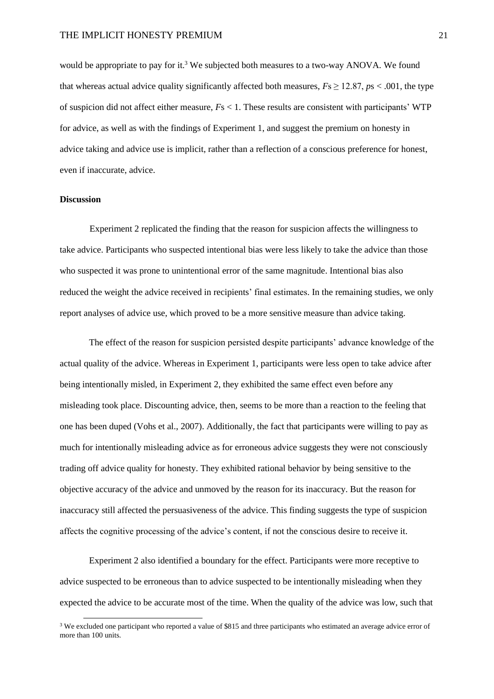would be appropriate to pay for it.<sup>3</sup> We subjected both measures to a two-way ANOVA. We found that whereas actual advice quality significantly affected both measures,  $Fs \ge 12.87$ ,  $ps < .001$ , the type of suspicion did not affect either measure, *F*s < 1. These results are consistent with participants' WTP for advice, as well as with the findings of Experiment 1, and suggest the premium on honesty in advice taking and advice use is implicit, rather than a reflection of a conscious preference for honest, even if inaccurate, advice.

#### **Discussion**

Experiment 2 replicated the finding that the reason for suspicion affects the willingness to take advice. Participants who suspected intentional bias were less likely to take the advice than those who suspected it was prone to unintentional error of the same magnitude. Intentional bias also reduced the weight the advice received in recipients' final estimates. In the remaining studies, we only report analyses of advice use, which proved to be a more sensitive measure than advice taking.

The effect of the reason for suspicion persisted despite participants' advance knowledge of the actual quality of the advice. Whereas in Experiment 1, participants were less open to take advice after being intentionally misled, in Experiment 2, they exhibited the same effect even before any misleading took place. Discounting advice, then, seems to be more than a reaction to the feeling that one has been duped (Vohs et al., 2007). Additionally, the fact that participants were willing to pay as much for intentionally misleading advice as for erroneous advice suggests they were not consciously trading off advice quality for honesty. They exhibited rational behavior by being sensitive to the objective accuracy of the advice and unmoved by the reason for its inaccuracy. But the reason for inaccuracy still affected the persuasiveness of the advice. This finding suggests the type of suspicion affects the cognitive processing of the advice's content, if not the conscious desire to receive it.

Experiment 2 also identified a boundary for the effect. Participants were more receptive to advice suspected to be erroneous than to advice suspected to be intentionally misleading when they expected the advice to be accurate most of the time. When the quality of the advice was low, such that

<sup>&</sup>lt;sup>3</sup> We excluded one participant who reported a value of \$815 and three participants who estimated an average advice error of more than 100 units.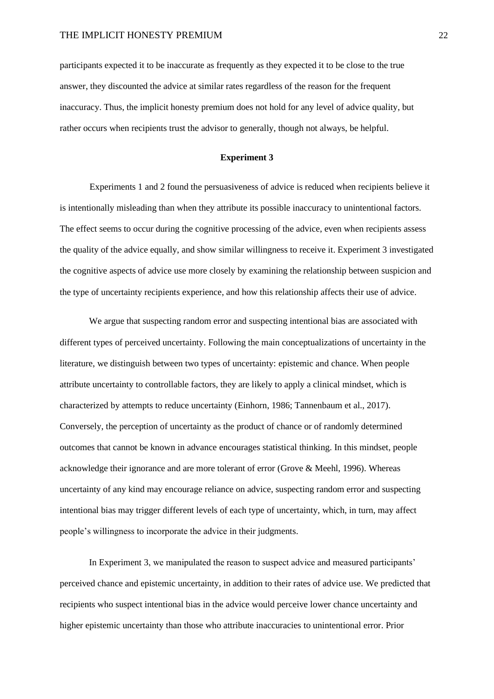participants expected it to be inaccurate as frequently as they expected it to be close to the true answer, they discounted the advice at similar rates regardless of the reason for the frequent inaccuracy. Thus, the implicit honesty premium does not hold for any level of advice quality, but rather occurs when recipients trust the advisor to generally, though not always, be helpful.

## **Experiment 3**

Experiments 1 and 2 found the persuasiveness of advice is reduced when recipients believe it is intentionally misleading than when they attribute its possible inaccuracy to unintentional factors. The effect seems to occur during the cognitive processing of the advice, even when recipients assess the quality of the advice equally, and show similar willingness to receive it. Experiment 3 investigated the cognitive aspects of advice use more closely by examining the relationship between suspicion and the type of uncertainty recipients experience, and how this relationship affects their use of advice.

We argue that suspecting random error and suspecting intentional bias are associated with different types of perceived uncertainty. Following the main conceptualizations of uncertainty in the literature, we distinguish between two types of uncertainty: epistemic and chance. When people attribute uncertainty to controllable factors, they are likely to apply a clinical mindset, which is characterized by attempts to reduce uncertainty (Einhorn, 1986; Tannenbaum et al., 2017). Conversely, the perception of uncertainty as the product of chance or of randomly determined outcomes that cannot be known in advance encourages statistical thinking. In this mindset, people acknowledge their ignorance and are more tolerant of error (Grove & Meehl, 1996). Whereas uncertainty of any kind may encourage reliance on advice, suspecting random error and suspecting intentional bias may trigger different levels of each type of uncertainty, which, in turn, may affect people's willingness to incorporate the advice in their judgments.

In Experiment 3, we manipulated the reason to suspect advice and measured participants' perceived chance and epistemic uncertainty, in addition to their rates of advice use. We predicted that recipients who suspect intentional bias in the advice would perceive lower chance uncertainty and higher epistemic uncertainty than those who attribute inaccuracies to unintentional error. Prior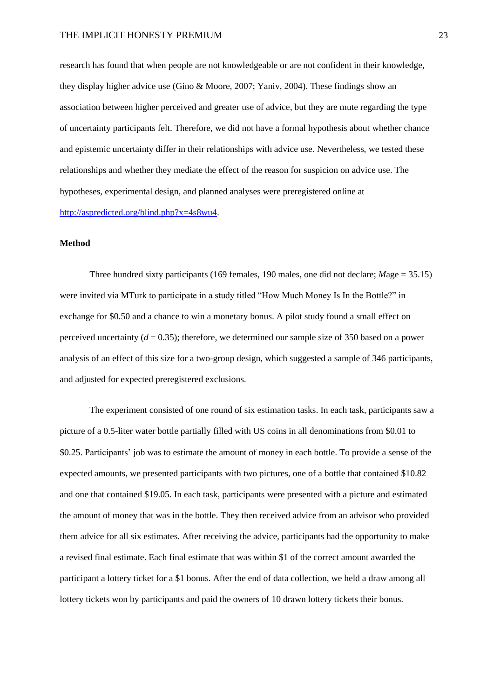research has found that when people are not knowledgeable or are not confident in their knowledge, they display higher advice use (Gino & Moore, 2007; Yaniv, 2004). These findings show an association between higher perceived and greater use of advice, but they are mute regarding the type of uncertainty participants felt. Therefore, we did not have a formal hypothesis about whether chance and epistemic uncertainty differ in their relationships with advice use. Nevertheless, we tested these relationships and whether they mediate the effect of the reason for suspicion on advice use. The hypotheses, experimental design, and planned analyses were preregistered online at [http://aspredicted.org/blind.php?x=4s8wu4.](http://aspredicted.org/blind.php?x=4s8wu4)

## **Method**

Three hundred sixty participants (169 females, 190 males, one did not declare; *M*age = 35.15) were invited via MTurk to participate in a study titled "How Much Money Is In the Bottle?" in exchange for \$0.50 and a chance to win a monetary bonus. A pilot study found a small effect on perceived uncertainty  $(d = 0.35)$ ; therefore, we determined our sample size of 350 based on a power analysis of an effect of this size for a two-group design, which suggested a sample of 346 participants, and adjusted for expected preregistered exclusions.

The experiment consisted of one round of six estimation tasks. In each task, participants saw a picture of a 0.5-liter water bottle partially filled with US coins in all denominations from \$0.01 to \$0.25. Participants' job was to estimate the amount of money in each bottle. To provide a sense of the expected amounts, we presented participants with two pictures, one of a bottle that contained \$10.82 and one that contained \$19.05. In each task, participants were presented with a picture and estimated the amount of money that was in the bottle. They then received advice from an advisor who provided them advice for all six estimates. After receiving the advice, participants had the opportunity to make a revised final estimate. Each final estimate that was within \$1 of the correct amount awarded the participant a lottery ticket for a \$1 bonus. After the end of data collection, we held a draw among all lottery tickets won by participants and paid the owners of 10 drawn lottery tickets their bonus.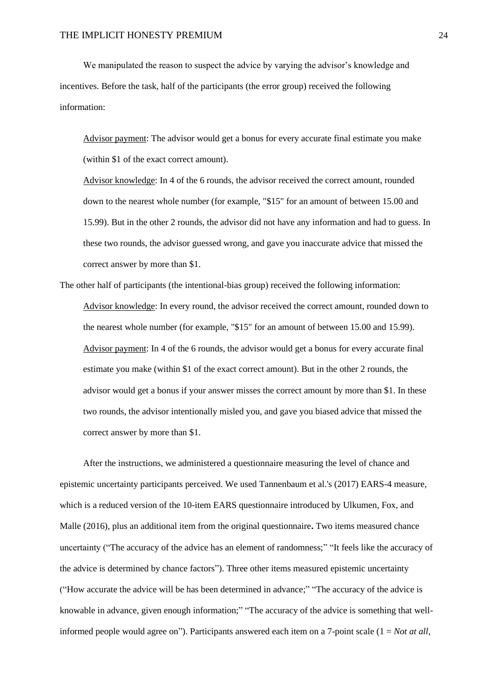We manipulated the reason to suspect the advice by varying the advisor's knowledge and incentives. Before the task, half of the participants (the error group) received the following information:

Advisor payment: The advisor would get a bonus for every accurate final estimate you make (within \$1 of the exact correct amount).

Advisor knowledge: In 4 of the 6 rounds, the advisor received the correct amount, rounded down to the nearest whole number (for example, "\$15" for an amount of between 15.00 and 15.99). But in the other 2 rounds, the advisor did not have any information and had to guess. In these two rounds, the advisor guessed wrong, and gave you inaccurate advice that missed the correct answer by more than \$1.

The other half of participants (the intentional-bias group) received the following information: Advisor knowledge: In every round, the advisor received the correct amount, rounded down to the nearest whole number (for example, "\$15" for an amount of between 15.00 and 15.99). Advisor payment: In 4 of the 6 rounds, the advisor would get a bonus for every accurate final estimate you make (within \$1 of the exact correct amount). But in the other 2 rounds, the advisor would get a bonus if your answer misses the correct amount by more than \$1. In these two rounds, the advisor intentionally misled you, and gave you biased advice that missed the correct answer by more than \$1.

After the instructions, we administered a questionnaire measuring the level of chance and epistemic uncertainty participants perceived. We used Tannenbaum et al.'s (2017) EARS-4 measure, which is a reduced version of the 10-item EARS questionnaire introduced by Ulkumen, Fox, and Malle (2016), plus an additional item from the original questionnaire**.** Two items measured chance uncertainty ("The accuracy of the advice has an element of randomness;" "It feels like the accuracy of the advice is determined by chance factors"). Three other items measured epistemic uncertainty ("How accurate the advice will be has been determined in advance;" "The accuracy of the advice is knowable in advance, given enough information;" "The accuracy of the advice is something that wellinformed people would agree on"). Participants answered each item on a 7-point scale  $(1 = Not at all,$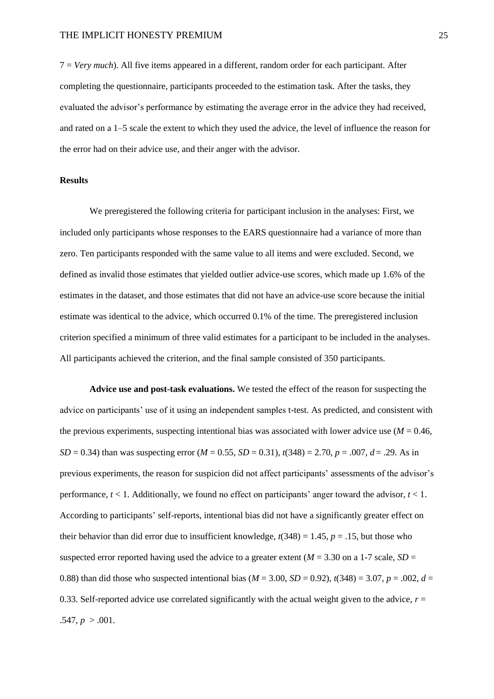7 = *Very much*). All five items appeared in a different, random order for each participant. After completing the questionnaire, participants proceeded to the estimation task. After the tasks, they evaluated the advisor's performance by estimating the average error in the advice they had received, and rated on a 1–5 scale the extent to which they used the advice, the level of influence the reason for the error had on their advice use, and their anger with the advisor.

## **Results**

We preregistered the following criteria for participant inclusion in the analyses: First, we included only participants whose responses to the EARS questionnaire had a variance of more than zero. Ten participants responded with the same value to all items and were excluded. Second, we defined as invalid those estimates that yielded outlier advice-use scores, which made up 1.6% of the estimates in the dataset, and those estimates that did not have an advice-use score because the initial estimate was identical to the advice, which occurred 0.1% of the time. The preregistered inclusion criterion specified a minimum of three valid estimates for a participant to be included in the analyses. All participants achieved the criterion, and the final sample consisted of 350 participants.

**Advice use and post-task evaluations.** We tested the effect of the reason for suspecting the advice on participants' use of it using an independent samples t-test. As predicted, and consistent with the previous experiments, suspecting intentional bias was associated with lower advice use  $(M = 0.46$ , *SD* = 0.34) than was suspecting error ( $M = 0.55$ ,  $SD = 0.31$ ),  $t(348) = 2.70$ ,  $p = .007$ ,  $d = .29$ . As in previous experiments, the reason for suspicion did not affect participants' assessments of the advisor's performance,  $t < 1$ . Additionally, we found no effect on participants' anger toward the advisor,  $t < 1$ . According to participants' self-reports, intentional bias did not have a significantly greater effect on their behavior than did error due to insufficient knowledge,  $t(348) = 1.45$ ,  $p = .15$ , but those who suspected error reported having used the advice to a greater extent  $(M = 3.30$  on a 1-7 scale,  $SD =$ 0.88) than did those who suspected intentional bias ( $M = 3.00$ ,  $SD = 0.92$ ),  $t(348) = 3.07$ ,  $p = .002$ ,  $d =$ 0.33. Self-reported advice use correlated significantly with the actual weight given to the advice,  $r =$  $.547, p > .001.$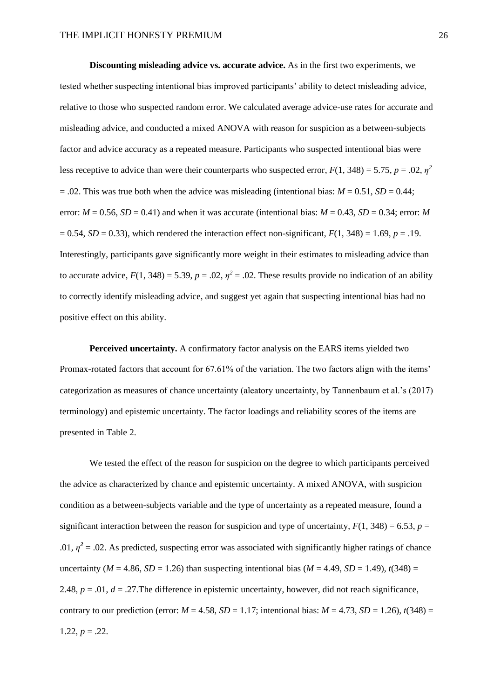**Discounting misleading advice vs. accurate advice.** As in the first two experiments, we tested whether suspecting intentional bias improved participants' ability to detect misleading advice, relative to those who suspected random error. We calculated average advice-use rates for accurate and misleading advice, and conducted a mixed ANOVA with reason for suspicion as a between-subjects factor and advice accuracy as a repeated measure. Participants who suspected intentional bias were less receptive to advice than were their counterparts who suspected error,  $F(1, 348) = 5.75$ ,  $p = .02$ ,  $\eta^2$  $= .02$ . This was true both when the advice was misleading (intentional bias:  $M = 0.51$ ,  $SD = 0.44$ ; error:  $M = 0.56$ ,  $SD = 0.41$ ) and when it was accurate (intentional bias:  $M = 0.43$ ,  $SD = 0.34$ ; error: *M*  $= 0.54$ , *SD*  $= 0.33$ ), which rendered the interaction effect non-significant,  $F(1, 348) = 1.69$ ,  $p = .19$ . Interestingly, participants gave significantly more weight in their estimates to misleading advice than to accurate advice,  $F(1, 348) = 5.39$ ,  $p = .02$ ,  $\eta^2 = .02$ . These results provide no indication of an ability to correctly identify misleading advice, and suggest yet again that suspecting intentional bias had no positive effect on this ability.

**Perceived uncertainty.** A confirmatory factor analysis on the EARS items yielded two Promax-rotated factors that account for 67.61% of the variation. The two factors align with the items' categorization as measures of chance uncertainty (aleatory uncertainty, by Tannenbaum et al.'s (2017) terminology) and epistemic uncertainty. The factor loadings and reliability scores of the items are presented in Table 2.

We tested the effect of the reason for suspicion on the degree to which participants perceived the advice as characterized by chance and epistemic uncertainty. A mixed ANOVA, with suspicion condition as a between-subjects variable and the type of uncertainty as a repeated measure, found a significant interaction between the reason for suspicion and type of uncertainty,  $F(1, 348) = 6.53$ ,  $p =$ .01,  $\eta^2$  = .02. As predicted, suspecting error was associated with significantly higher ratings of chance uncertainty ( $M = 4.86$ ,  $SD = 1.26$ ) than suspecting intentional bias ( $M = 4.49$ ,  $SD = 1.49$ ),  $t(348) =$ 2.48,  $p = .01$ ,  $d = .27$ . The difference in epistemic uncertainty, however, did not reach significance, contrary to our prediction (error:  $M = 4.58$ ,  $SD = 1.17$ ; intentional bias:  $M = 4.73$ ,  $SD = 1.26$ ),  $t(348) =$ 1.22,  $p = .22$ .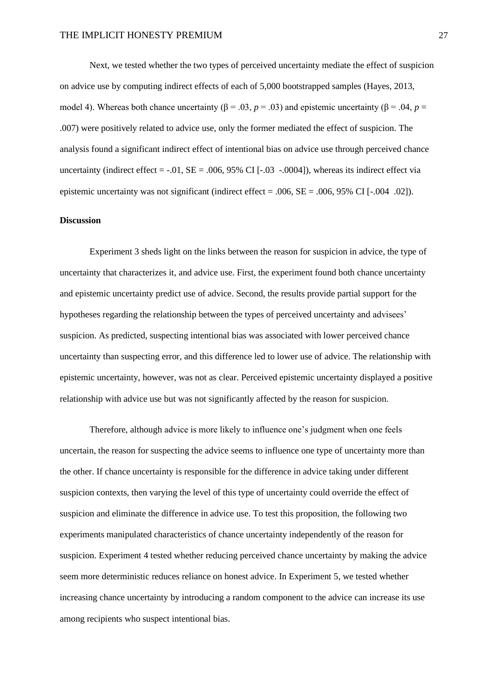Next, we tested whether the two types of perceived uncertainty mediate the effect of suspicion on advice use by computing indirect effects of each of 5,000 bootstrapped samples (Hayes, 2013, model 4). Whereas both chance uncertainty (β = .03, *p* = .03) and epistemic uncertainty (β = .04, *p* = .007) were positively related to advice use, only the former mediated the effect of suspicion. The analysis found a significant indirect effect of intentional bias on advice use through perceived chance uncertainty (indirect effect  $=$  -.01,  $SE = .006, 95\%$  CI [ $-.03$  -.0004]), whereas its indirect effect via epistemic uncertainty was not significant (indirect effect  $= .006$ ,  $SE = .006$ ,  $95\%$  CI [ $-.004$  .02]).

## **Discussion**

Experiment 3 sheds light on the links between the reason for suspicion in advice, the type of uncertainty that characterizes it, and advice use. First, the experiment found both chance uncertainty and epistemic uncertainty predict use of advice. Second, the results provide partial support for the hypotheses regarding the relationship between the types of perceived uncertainty and advisees' suspicion. As predicted, suspecting intentional bias was associated with lower perceived chance uncertainty than suspecting error, and this difference led to lower use of advice. The relationship with epistemic uncertainty, however, was not as clear. Perceived epistemic uncertainty displayed a positive relationship with advice use but was not significantly affected by the reason for suspicion.

Therefore, although advice is more likely to influence one's judgment when one feels uncertain, the reason for suspecting the advice seems to influence one type of uncertainty more than the other. If chance uncertainty is responsible for the difference in advice taking under different suspicion contexts, then varying the level of this type of uncertainty could override the effect of suspicion and eliminate the difference in advice use. To test this proposition, the following two experiments manipulated characteristics of chance uncertainty independently of the reason for suspicion. Experiment 4 tested whether reducing perceived chance uncertainty by making the advice seem more deterministic reduces reliance on honest advice. In Experiment 5, we tested whether increasing chance uncertainty by introducing a random component to the advice can increase its use among recipients who suspect intentional bias.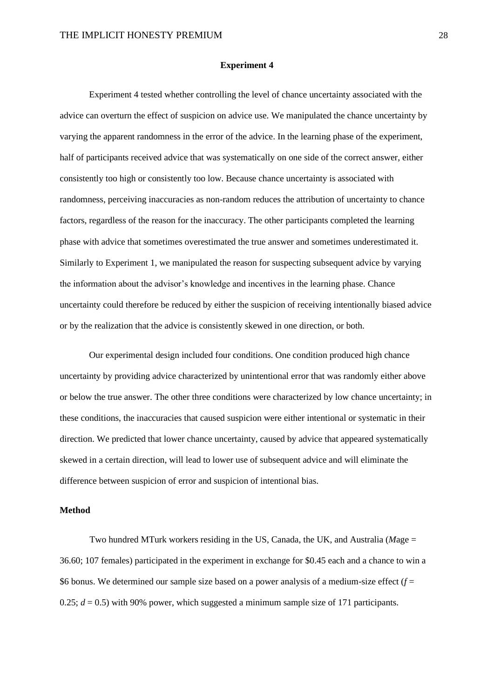#### **Experiment 4**

Experiment 4 tested whether controlling the level of chance uncertainty associated with the advice can overturn the effect of suspicion on advice use. We manipulated the chance uncertainty by varying the apparent randomness in the error of the advice. In the learning phase of the experiment, half of participants received advice that was systematically on one side of the correct answer, either consistently too high or consistently too low. Because chance uncertainty is associated with randomness, perceiving inaccuracies as non-random reduces the attribution of uncertainty to chance factors, regardless of the reason for the inaccuracy. The other participants completed the learning phase with advice that sometimes overestimated the true answer and sometimes underestimated it. Similarly to Experiment 1, we manipulated the reason for suspecting subsequent advice by varying the information about the advisor's knowledge and incentives in the learning phase. Chance uncertainty could therefore be reduced by either the suspicion of receiving intentionally biased advice or by the realization that the advice is consistently skewed in one direction, or both.

Our experimental design included four conditions. One condition produced high chance uncertainty by providing advice characterized by unintentional error that was randomly either above or below the true answer. The other three conditions were characterized by low chance uncertainty; in these conditions, the inaccuracies that caused suspicion were either intentional or systematic in their direction. We predicted that lower chance uncertainty, caused by advice that appeared systematically skewed in a certain direction, will lead to lower use of subsequent advice and will eliminate the difference between suspicion of error and suspicion of intentional bias.

#### **Method**

Two hundred MTurk workers residing in the US, Canada, the UK, and Australia (*M*age = 36.60; 107 females) participated in the experiment in exchange for \$0.45 each and a chance to win a \$6 bonus. We determined our sample size based on a power analysis of a medium-size effect (*f* = 0.25;  $d = 0.5$ ) with 90% power, which suggested a minimum sample size of 171 participants.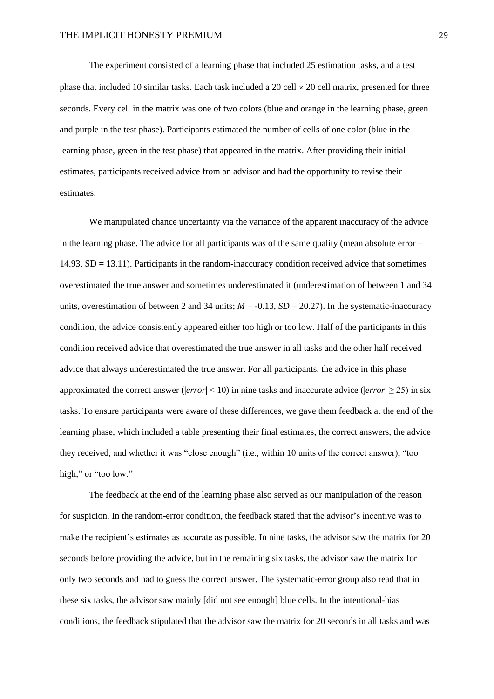The experiment consisted of a learning phase that included 25 estimation tasks, and a test phase that included 10 similar tasks. Each task included a 20 cell  $\times$  20 cell matrix, presented for three seconds. Every cell in the matrix was one of two colors (blue and orange in the learning phase, green and purple in the test phase). Participants estimated the number of cells of one color (blue in the learning phase, green in the test phase) that appeared in the matrix. After providing their initial estimates, participants received advice from an advisor and had the opportunity to revise their estimates.

We manipulated chance uncertainty via the variance of the apparent inaccuracy of the advice in the learning phase. The advice for all participants was of the same quality (mean absolute error  $=$ 14.93, SD = 13.11). Participants in the random-inaccuracy condition received advice that sometimes overestimated the true answer and sometimes underestimated it (underestimation of between 1 and 34 units, overestimation of between 2 and 34 units;  $M = -0.13$ ,  $SD = 20.27$ ). In the systematic-inaccuracy condition, the advice consistently appeared either too high or too low. Half of the participants in this condition received advice that overestimated the true answer in all tasks and the other half received advice that always underestimated the true answer. For all participants, the advice in this phase approximated the correct answer ( $|error| < 10$ ) in nine tasks and inaccurate advice ( $|error| \ge 25$ ) in six tasks. To ensure participants were aware of these differences, we gave them feedback at the end of the learning phase, which included a table presenting their final estimates, the correct answers, the advice they received, and whether it was "close enough" (i.e., within 10 units of the correct answer), "too high," or "too low."

The feedback at the end of the learning phase also served as our manipulation of the reason for suspicion. In the random-error condition, the feedback stated that the advisor's incentive was to make the recipient's estimates as accurate as possible. In nine tasks, the advisor saw the matrix for 20 seconds before providing the advice, but in the remaining six tasks, the advisor saw the matrix for only two seconds and had to guess the correct answer. The systematic-error group also read that in these six tasks, the advisor saw mainly [did not see enough] blue cells. In the intentional-bias conditions, the feedback stipulated that the advisor saw the matrix for 20 seconds in all tasks and was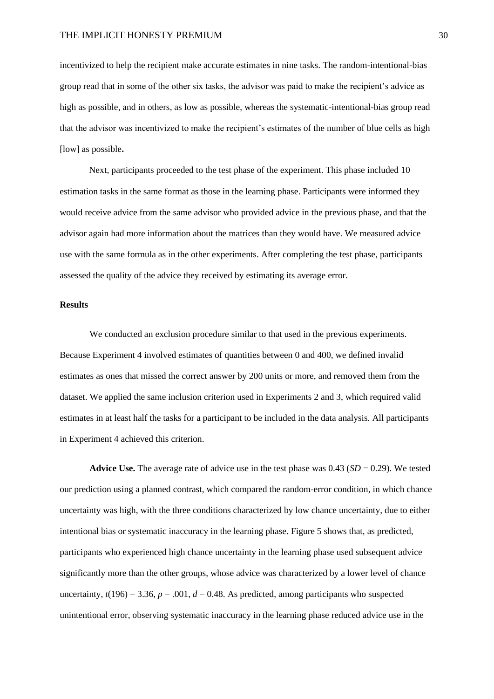incentivized to help the recipient make accurate estimates in nine tasks. The random-intentional-bias group read that in some of the other six tasks, the advisor was paid to make the recipient's advice as high as possible, and in others, as low as possible, whereas the systematic-intentional-bias group read that the advisor was incentivized to make the recipient's estimates of the number of blue cells as high [low] as possible**.**

Next, participants proceeded to the test phase of the experiment. This phase included 10 estimation tasks in the same format as those in the learning phase. Participants were informed they would receive advice from the same advisor who provided advice in the previous phase, and that the advisor again had more information about the matrices than they would have. We measured advice use with the same formula as in the other experiments. After completing the test phase, participants assessed the quality of the advice they received by estimating its average error.

## **Results**

We conducted an exclusion procedure similar to that used in the previous experiments. Because Experiment 4 involved estimates of quantities between 0 and 400, we defined invalid estimates as ones that missed the correct answer by 200 units or more, and removed them from the dataset. We applied the same inclusion criterion used in Experiments 2 and 3, which required valid estimates in at least half the tasks for a participant to be included in the data analysis. All participants in Experiment 4 achieved this criterion.

**Advice Use.** The average rate of advice use in the test phase was  $0.43$  ( $SD = 0.29$ ). We tested our prediction using a planned contrast, which compared the random-error condition, in which chance uncertainty was high, with the three conditions characterized by low chance uncertainty, due to either intentional bias or systematic inaccuracy in the learning phase. Figure 5 shows that, as predicted, participants who experienced high chance uncertainty in the learning phase used subsequent advice significantly more than the other groups, whose advice was characterized by a lower level of chance uncertainty,  $t(196) = 3.36$ ,  $p = .001$ ,  $d = 0.48$ . As predicted, among participants who suspected unintentional error, observing systematic inaccuracy in the learning phase reduced advice use in the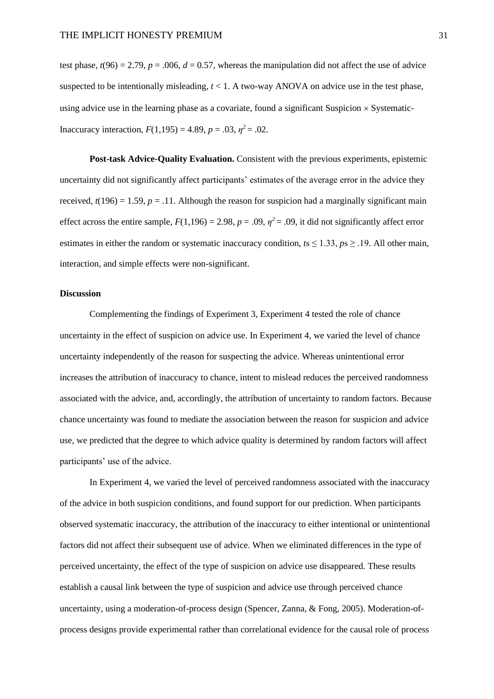test phase,  $t(96) = 2.79$ ,  $p = .006$ ,  $d = 0.57$ , whereas the manipulation did not affect the use of advice suspected to be intentionally misleading,  $t < 1$ . A two-way ANOVA on advice use in the test phase, using advice use in the learning phase as a covariate, found a significant Suspicion  $\times$  Systematic-Inaccuracy interaction,  $F(1,195) = 4.89$ ,  $p = .03$ ,  $\eta^2 = .02$ .

**Post-task Advice-Quality Evaluation.** Consistent with the previous experiments, epistemic uncertainty did not significantly affect participants' estimates of the average error in the advice they received,  $t(196) = 1.59$ ,  $p = .11$ . Although the reason for suspicion had a marginally significant main effect across the entire sample,  $F(1,196) = 2.98$ ,  $p = .09$ ,  $\eta^2 = .09$ , it did not significantly affect error estimates in either the random or systematic inaccuracy condition, *t*s ≤ 1.33, *p*s ≥ .19. All other main, interaction, and simple effects were non-significant.

#### **Discussion**

Complementing the findings of Experiment 3, Experiment 4 tested the role of chance uncertainty in the effect of suspicion on advice use. In Experiment 4, we varied the level of chance uncertainty independently of the reason for suspecting the advice. Whereas unintentional error increases the attribution of inaccuracy to chance, intent to mislead reduces the perceived randomness associated with the advice, and, accordingly, the attribution of uncertainty to random factors. Because chance uncertainty was found to mediate the association between the reason for suspicion and advice use, we predicted that the degree to which advice quality is determined by random factors will affect participants' use of the advice.

In Experiment 4, we varied the level of perceived randomness associated with the inaccuracy of the advice in both suspicion conditions, and found support for our prediction. When participants observed systematic inaccuracy, the attribution of the inaccuracy to either intentional or unintentional factors did not affect their subsequent use of advice. When we eliminated differences in the type of perceived uncertainty, the effect of the type of suspicion on advice use disappeared. These results establish a causal link between the type of suspicion and advice use through perceived chance uncertainty, using a moderation-of-process design (Spencer, Zanna, & Fong, 2005). Moderation-ofprocess designs provide experimental rather than correlational evidence for the causal role of process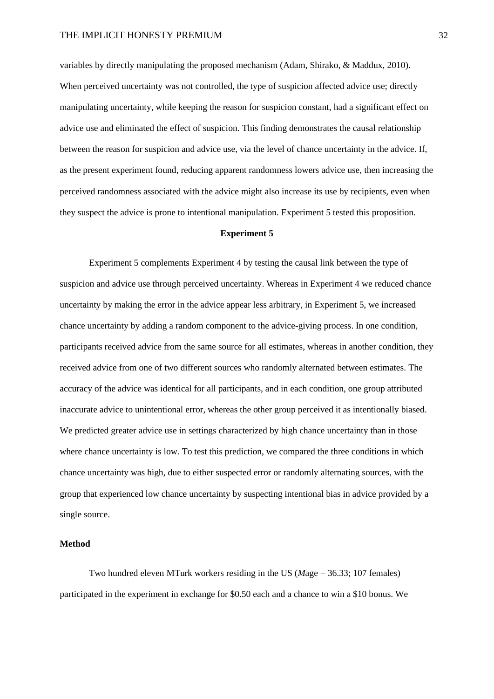variables by directly manipulating the proposed mechanism (Adam, Shirako, & Maddux, 2010). When perceived uncertainty was not controlled, the type of suspicion affected advice use; directly manipulating uncertainty, while keeping the reason for suspicion constant, had a significant effect on advice use and eliminated the effect of suspicion. This finding demonstrates the causal relationship between the reason for suspicion and advice use, via the level of chance uncertainty in the advice. If, as the present experiment found, reducing apparent randomness lowers advice use, then increasing the perceived randomness associated with the advice might also increase its use by recipients, even when they suspect the advice is prone to intentional manipulation. Experiment 5 tested this proposition.

## **Experiment 5**

Experiment 5 complements Experiment 4 by testing the causal link between the type of suspicion and advice use through perceived uncertainty. Whereas in Experiment 4 we reduced chance uncertainty by making the error in the advice appear less arbitrary, in Experiment 5, we increased chance uncertainty by adding a random component to the advice-giving process. In one condition, participants received advice from the same source for all estimates, whereas in another condition, they received advice from one of two different sources who randomly alternated between estimates. The accuracy of the advice was identical for all participants, and in each condition, one group attributed inaccurate advice to unintentional error, whereas the other group perceived it as intentionally biased. We predicted greater advice use in settings characterized by high chance uncertainty than in those where chance uncertainty is low. To test this prediction, we compared the three conditions in which chance uncertainty was high, due to either suspected error or randomly alternating sources, with the group that experienced low chance uncertainty by suspecting intentional bias in advice provided by a single source.

#### **Method**

Two hundred eleven MTurk workers residing in the US (*M*age = 36.33; 107 females) participated in the experiment in exchange for \$0.50 each and a chance to win a \$10 bonus. We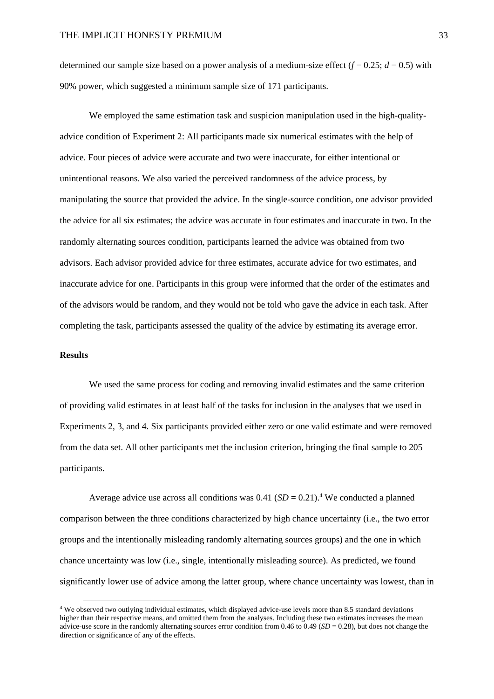determined our sample size based on a power analysis of a medium-size effect  $(f = 0.25; d = 0.5)$  with 90% power, which suggested a minimum sample size of 171 participants.

We employed the same estimation task and suspicion manipulation used in the high-qualityadvice condition of Experiment 2: All participants made six numerical estimates with the help of advice. Four pieces of advice were accurate and two were inaccurate, for either intentional or unintentional reasons. We also varied the perceived randomness of the advice process, by manipulating the source that provided the advice. In the single-source condition, one advisor provided the advice for all six estimates; the advice was accurate in four estimates and inaccurate in two. In the randomly alternating sources condition, participants learned the advice was obtained from two advisors. Each advisor provided advice for three estimates, accurate advice for two estimates, and inaccurate advice for one. Participants in this group were informed that the order of the estimates and of the advisors would be random, and they would not be told who gave the advice in each task. After completing the task, participants assessed the quality of the advice by estimating its average error.

## **Results**

We used the same process for coding and removing invalid estimates and the same criterion of providing valid estimates in at least half of the tasks for inclusion in the analyses that we used in Experiments 2, 3, and 4. Six participants provided either zero or one valid estimate and were removed from the data set. All other participants met the inclusion criterion, bringing the final sample to 205 participants.

Average advice use across all conditions was  $0.41$  (*SD* = 0.21).<sup>4</sup> We conducted a planned comparison between the three conditions characterized by high chance uncertainty (i.e., the two error groups and the intentionally misleading randomly alternating sources groups) and the one in which chance uncertainty was low (i.e., single, intentionally misleading source). As predicted, we found significantly lower use of advice among the latter group, where chance uncertainty was lowest, than in

<sup>4</sup> We observed two outlying individual estimates, which displayed advice-use levels more than 8.5 standard deviations higher than their respective means, and omitted them from the analyses. Including these two estimates increases the mean advice-use score in the randomly alternating sources error condition from 0.46 to 0.49 (*SD* = 0.28), but does not change the direction or significance of any of the effects.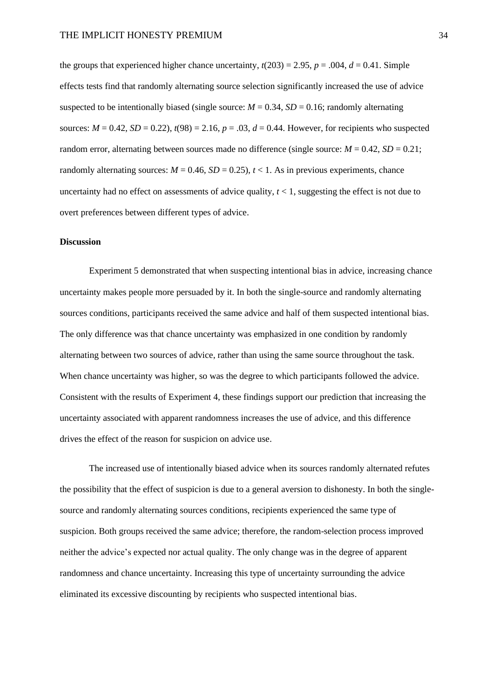the groups that experienced higher chance uncertainty,  $t(203) = 2.95$ ,  $p = .004$ ,  $d = 0.41$ . Simple effects tests find that randomly alternating source selection significantly increased the use of advice suspected to be intentionally biased (single source:  $M = 0.34$ ,  $SD = 0.16$ ; randomly alternating sources:  $M = 0.42$ ,  $SD = 0.22$ ),  $t(98) = 2.16$ ,  $p = .03$ ,  $d = 0.44$ . However, for recipients who suspected random error, alternating between sources made no difference (single source:  $M = 0.42$ ,  $SD = 0.21$ ; randomly alternating sources:  $M = 0.46$ ,  $SD = 0.25$ ),  $t < 1$ . As in previous experiments, chance uncertainty had no effect on assessments of advice quality,  $t < 1$ , suggesting the effect is not due to overt preferences between different types of advice.

## **Discussion**

Experiment 5 demonstrated that when suspecting intentional bias in advice, increasing chance uncertainty makes people more persuaded by it. In both the single-source and randomly alternating sources conditions, participants received the same advice and half of them suspected intentional bias. The only difference was that chance uncertainty was emphasized in one condition by randomly alternating between two sources of advice, rather than using the same source throughout the task. When chance uncertainty was higher, so was the degree to which participants followed the advice. Consistent with the results of Experiment 4, these findings support our prediction that increasing the uncertainty associated with apparent randomness increases the use of advice, and this difference drives the effect of the reason for suspicion on advice use.

The increased use of intentionally biased advice when its sources randomly alternated refutes the possibility that the effect of suspicion is due to a general aversion to dishonesty. In both the singlesource and randomly alternating sources conditions, recipients experienced the same type of suspicion. Both groups received the same advice; therefore, the random-selection process improved neither the advice's expected nor actual quality. The only change was in the degree of apparent randomness and chance uncertainty. Increasing this type of uncertainty surrounding the advice eliminated its excessive discounting by recipients who suspected intentional bias.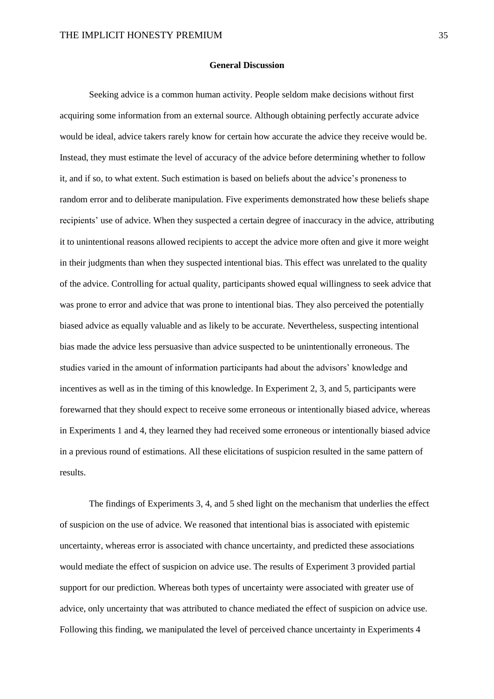#### **General Discussion**

Seeking advice is a common human activity. People seldom make decisions without first acquiring some information from an external source. Although obtaining perfectly accurate advice would be ideal, advice takers rarely know for certain how accurate the advice they receive would be. Instead, they must estimate the level of accuracy of the advice before determining whether to follow it, and if so, to what extent. Such estimation is based on beliefs about the advice's proneness to random error and to deliberate manipulation. Five experiments demonstrated how these beliefs shape recipients' use of advice. When they suspected a certain degree of inaccuracy in the advice, attributing it to unintentional reasons allowed recipients to accept the advice more often and give it more weight in their judgments than when they suspected intentional bias. This effect was unrelated to the quality of the advice. Controlling for actual quality, participants showed equal willingness to seek advice that was prone to error and advice that was prone to intentional bias. They also perceived the potentially biased advice as equally valuable and as likely to be accurate. Nevertheless, suspecting intentional bias made the advice less persuasive than advice suspected to be unintentionally erroneous. The studies varied in the amount of information participants had about the advisors' knowledge and incentives as well as in the timing of this knowledge. In Experiment 2, 3, and 5, participants were forewarned that they should expect to receive some erroneous or intentionally biased advice, whereas in Experiments 1 and 4, they learned they had received some erroneous or intentionally biased advice in a previous round of estimations. All these elicitations of suspicion resulted in the same pattern of results.

The findings of Experiments 3, 4, and 5 shed light on the mechanism that underlies the effect of suspicion on the use of advice. We reasoned that intentional bias is associated with epistemic uncertainty, whereas error is associated with chance uncertainty, and predicted these associations would mediate the effect of suspicion on advice use. The results of Experiment 3 provided partial support for our prediction. Whereas both types of uncertainty were associated with greater use of advice, only uncertainty that was attributed to chance mediated the effect of suspicion on advice use. Following this finding, we manipulated the level of perceived chance uncertainty in Experiments 4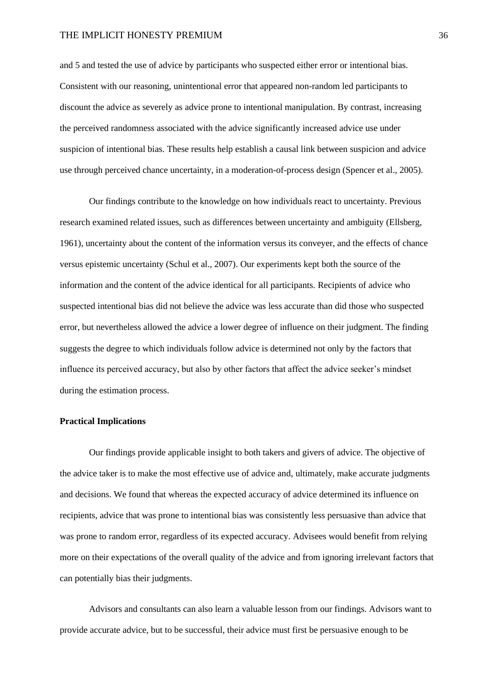and 5 and tested the use of advice by participants who suspected either error or intentional bias. Consistent with our reasoning, unintentional error that appeared non-random led participants to discount the advice as severely as advice prone to intentional manipulation. By contrast, increasing the perceived randomness associated with the advice significantly increased advice use under suspicion of intentional bias. These results help establish a causal link between suspicion and advice use through perceived chance uncertainty, in a moderation-of-process design (Spencer et al., 2005).

Our findings contribute to the knowledge on how individuals react to uncertainty. Previous research examined related issues, such as differences between uncertainty and ambiguity (Ellsberg, 1961), uncertainty about the content of the information versus its conveyer, and the effects of chance versus epistemic uncertainty (Schul et al., 2007). Our experiments kept both the source of the information and the content of the advice identical for all participants. Recipients of advice who suspected intentional bias did not believe the advice was less accurate than did those who suspected error, but nevertheless allowed the advice a lower degree of influence on their judgment. The finding suggests the degree to which individuals follow advice is determined not only by the factors that influence its perceived accuracy, but also by other factors that affect the advice seeker's mindset during the estimation process.

## **Practical Implications**

Our findings provide applicable insight to both takers and givers of advice. The objective of the advice taker is to make the most effective use of advice and, ultimately, make accurate judgments and decisions. We found that whereas the expected accuracy of advice determined its influence on recipients, advice that was prone to intentional bias was consistently less persuasive than advice that was prone to random error, regardless of its expected accuracy. Advisees would benefit from relying more on their expectations of the overall quality of the advice and from ignoring irrelevant factors that can potentially bias their judgments.

Advisors and consultants can also learn a valuable lesson from our findings. Advisors want to provide accurate advice, but to be successful, their advice must first be persuasive enough to be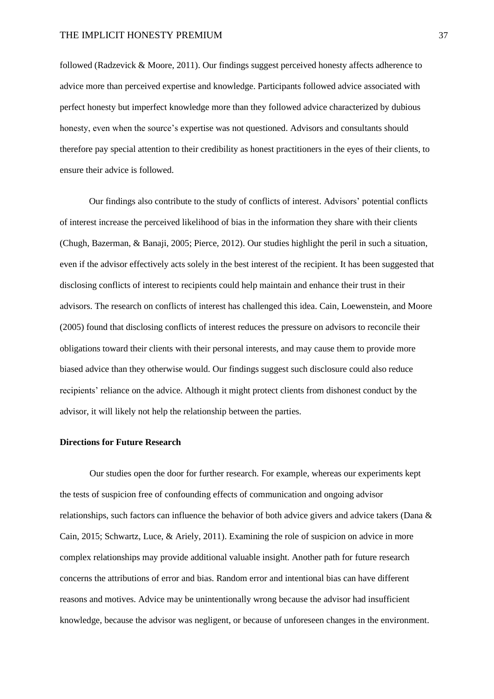followed (Radzevick & Moore, 2011). Our findings suggest perceived honesty affects adherence to advice more than perceived expertise and knowledge. Participants followed advice associated with perfect honesty but imperfect knowledge more than they followed advice characterized by dubious honesty, even when the source's expertise was not questioned. Advisors and consultants should therefore pay special attention to their credibility as honest practitioners in the eyes of their clients, to ensure their advice is followed.

Our findings also contribute to the study of conflicts of interest. Advisors' potential conflicts of interest increase the perceived likelihood of bias in the information they share with their clients (Chugh, Bazerman, & Banaji, 2005; Pierce, 2012). Our studies highlight the peril in such a situation, even if the advisor effectively acts solely in the best interest of the recipient. It has been suggested that disclosing conflicts of interest to recipients could help maintain and enhance their trust in their advisors. The research on conflicts of interest has challenged this idea. Cain, Loewenstein, and Moore (2005) found that disclosing conflicts of interest reduces the pressure on advisors to reconcile their obligations toward their clients with their personal interests, and may cause them to provide more biased advice than they otherwise would. Our findings suggest such disclosure could also reduce recipients' reliance on the advice. Although it might protect clients from dishonest conduct by the advisor, it will likely not help the relationship between the parties.

### **Directions for Future Research**

Our studies open the door for further research. For example, whereas our experiments kept the tests of suspicion free of confounding effects of communication and ongoing advisor relationships, such factors can influence the behavior of both advice givers and advice takers (Dana & Cain, 2015; Schwartz, Luce, & Ariely, 2011). Examining the role of suspicion on advice in more complex relationships may provide additional valuable insight. Another path for future research concerns the attributions of error and bias. Random error and intentional bias can have different reasons and motives. Advice may be unintentionally wrong because the advisor had insufficient knowledge, because the advisor was negligent, or because of unforeseen changes in the environment.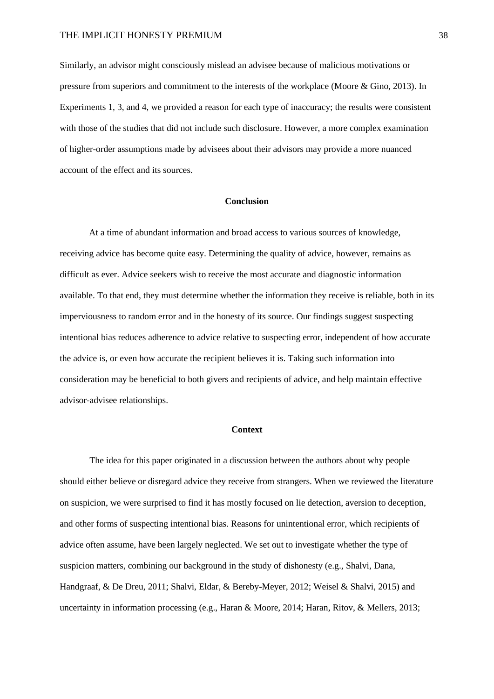Similarly, an advisor might consciously mislead an advisee because of malicious motivations or pressure from superiors and commitment to the interests of the workplace (Moore & Gino, 2013). In Experiments 1, 3, and 4, we provided a reason for each type of inaccuracy; the results were consistent with those of the studies that did not include such disclosure. However, a more complex examination of higher-order assumptions made by advisees about their advisors may provide a more nuanced account of the effect and its sources.

#### **Conclusion**

At a time of abundant information and broad access to various sources of knowledge, receiving advice has become quite easy. Determining the quality of advice, however, remains as difficult as ever. Advice seekers wish to receive the most accurate and diagnostic information available. To that end, they must determine whether the information they receive is reliable, both in its imperviousness to random error and in the honesty of its source. Our findings suggest suspecting intentional bias reduces adherence to advice relative to suspecting error, independent of how accurate the advice is, or even how accurate the recipient believes it is. Taking such information into consideration may be beneficial to both givers and recipients of advice, and help maintain effective advisor-advisee relationships.

#### **Context**

The idea for this paper originated in a discussion between the authors about why people should either believe or disregard advice they receive from strangers. When we reviewed the literature on suspicion, we were surprised to find it has mostly focused on lie detection, aversion to deception, and other forms of suspecting intentional bias. Reasons for unintentional error, which recipients of advice often assume, have been largely neglected. We set out to investigate whether the type of suspicion matters, combining our background in the study of dishonesty (e.g., Shalvi, Dana, Handgraaf, & De Dreu, 2011; Shalvi, Eldar, & Bereby-Meyer, 2012; Weisel & Shalvi, 2015) and uncertainty in information processing (e.g., Haran & Moore, 2014; Haran, Ritov, & Mellers, 2013;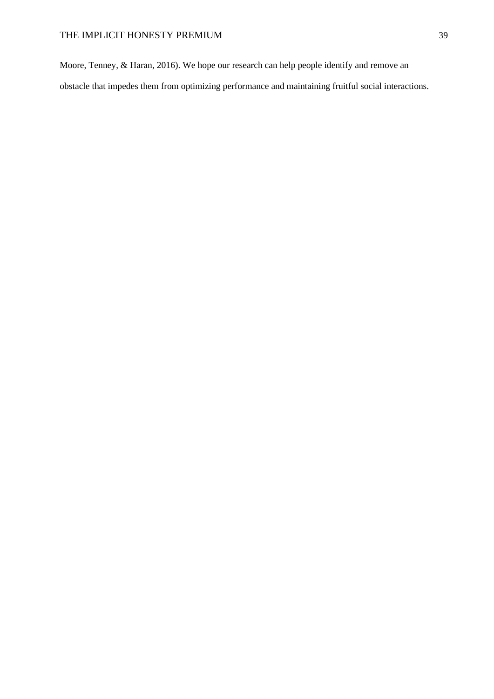Moore, Tenney, & Haran, 2016). We hope our research can help people identify and remove an obstacle that impedes them from optimizing performance and maintaining fruitful social interactions.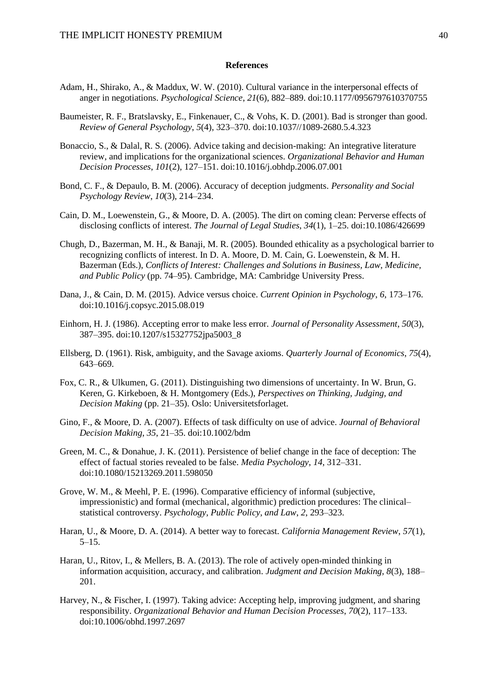#### **References**

- Adam, H., Shirako, A., & Maddux, W. W. (2010). Cultural variance in the interpersonal effects of anger in negotiations. *Psychological Science*, *21*(6), 882–889. doi:10.1177/0956797610370755
- Baumeister, R. F., Bratslavsky, E., Finkenauer, C., & Vohs, K. D. (2001). Bad is stronger than good. *Review of General Psychology*, *5*(4), 323–370. doi:10.1037//1089-2680.5.4.323
- Bonaccio, S., & Dalal, R. S. (2006). Advice taking and decision-making: An integrative literature review, and implications for the organizational sciences. *Organizational Behavior and Human Decision Processes*, *101*(2), 127–151. doi:10.1016/j.obhdp.2006.07.001
- Bond, C. F., & Depaulo, B. M. (2006). Accuracy of deception judgments. *Personality and Social Psychology Review*, *10*(3), 214–234.
- Cain, D. M., Loewenstein, G., & Moore, D. A. (2005). The dirt on coming clean: Perverse effects of disclosing conflicts of interest. *The Journal of Legal Studies*, *34*(1), 1–25. doi:10.1086/426699
- Chugh, D., Bazerman, M. H., & Banaji, M. R. (2005). Bounded ethicality as a psychological barrier to recognizing conflicts of interest. In D. A. Moore, D. M. Cain, G. Loewenstein, & M. H. Bazerman (Eds.), *Conflicts of Interest: Challenges and Solutions in Business, Law, Medicine, and Public Policy* (pp. 74–95). Cambridge, MA: Cambridge University Press.
- Dana, J., & Cain, D. M. (2015). Advice versus choice. *Current Opinion in Psychology*, *6*, 173–176. doi:10.1016/j.copsyc.2015.08.019
- Einhorn, H. J. (1986). Accepting error to make less error. *Journal of Personality Assessment*, *50*(3), 387–395. doi:10.1207/s15327752jpa5003\_8
- Ellsberg, D. (1961). Risk, ambiguity, and the Savage axioms. *Quarterly Journal of Economics*, *75*(4), 643–669.
- Fox, C. R., & Ulkumen, G. (2011). Distinguishing two dimensions of uncertainty. In W. Brun, G. Keren, G. Kirkeboen, & H. Montgomery (Eds.), *Perspectives on Thinking, Judging, and Decision Making* (pp. 21–35). Oslo: Universitetsforlaget.
- Gino, F., & Moore, D. A. (2007). Effects of task difficulty on use of advice. *Journal of Behavioral Decision Making*, *35*, 21–35. doi:10.1002/bdm
- Green, M. C., & Donahue, J. K. (2011). Persistence of belief change in the face of deception: The effect of factual stories revealed to be false. *Media Psychology*, *14*, 312–331. doi:10.1080/15213269.2011.598050
- Grove, W. M., & Meehl, P. E. (1996). Comparative efficiency of informal (subjective, impressionistic) and formal (mechanical, algorithmic) prediction procedures: The clinical– statistical controversy. *Psychology, Public Policy, and Law*, *2*, 293–323.
- Haran, U., & Moore, D. A. (2014). A better way to forecast. *California Management Review*, *57*(1), 5–15.
- Haran, U., Ritov, I., & Mellers, B. A. (2013). The role of actively open-minded thinking in information acquisition, accuracy, and calibration. *Judgment and Decision Making*, *8*(3), 188– 201.
- Harvey, N., & Fischer, I. (1997). Taking advice: Accepting help, improving judgment, and sharing responsibility. *Organizational Behavior and Human Decision Processes*, *70*(2), 117–133. doi:10.1006/obhd.1997.2697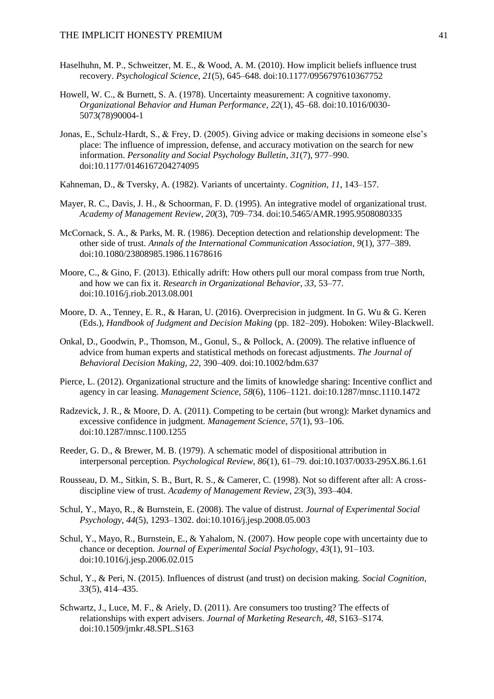- Haselhuhn, M. P., Schweitzer, M. E., & Wood, A. M. (2010). How implicit beliefs influence trust recovery. *Psychological Science*, *21*(5), 645–648. doi:10.1177/0956797610367752
- Howell, W. C., & Burnett, S. A. (1978). Uncertainty measurement: A cognitive taxonomy. *Organizational Behavior and Human Performance*, *22*(1), 45–68. doi:10.1016/0030- 5073(78)90004-1
- Jonas, E., Schulz-Hardt, S., & Frey, D. (2005). Giving advice or making decisions in someone else's place: The influence of impression, defense, and accuracy motivation on the search for new information. *Personality and Social Psychology Bulletin*, *31*(7), 977–990. doi:10.1177/0146167204274095
- Kahneman, D., & Tversky, A. (1982). Variants of uncertainty. *Cognition*, *11*, 143–157.
- Mayer, R. C., Davis, J. H., & Schoorman, F. D. (1995). An integrative model of organizational trust. *Academy of Management Review*, *20*(3), 709–734. doi:10.5465/AMR.1995.9508080335
- McCornack, S. A., & Parks, M. R. (1986). Deception detection and relationship development: The other side of trust. *Annals of the International Communication Association*, *9*(1), 377–389. doi:10.1080/23808985.1986.11678616
- Moore, C., & Gino, F. (2013). Ethically adrift: How others pull our moral compass from true North, and how we can fix it. *Research in Organizational Behavior*, *33*, 53–77. doi:10.1016/j.riob.2013.08.001
- Moore, D. A., Tenney, E. R., & Haran, U. (2016). Overprecision in judgment. In G. Wu & G. Keren (Eds.), *Handbook of Judgment and Decision Making* (pp. 182–209). Hoboken: Wiley-Blackwell.
- Onkal, D., Goodwin, P., Thomson, M., Gonul, S., & Pollock, A. (2009). The relative influence of advice from human experts and statistical methods on forecast adjustments. *The Journal of Behavioral Decision Making*, *22*, 390–409. doi:10.1002/bdm.637
- Pierce, L. (2012). Organizational structure and the limits of knowledge sharing: Incentive conflict and agency in car leasing. *Management Science*, *58*(6), 1106–1121. doi:10.1287/mnsc.1110.1472
- Radzevick, J. R., & Moore, D. A. (2011). Competing to be certain (but wrong): Market dynamics and excessive confidence in judgment. *Management Science*, *57*(1), 93–106. doi:10.1287/mnsc.1100.1255
- Reeder, G. D., & Brewer, M. B. (1979). A schematic model of dispositional attribution in interpersonal perception. *Psychological Review*, *86*(1), 61–79. doi:10.1037/0033-295X.86.1.61
- Rousseau, D. M., Sitkin, S. B., Burt, R. S., & Camerer, C. (1998). Not so different after all: A crossdiscipline view of trust. *Academy of Management Review*, *23*(3), 393–404.
- Schul, Y., Mayo, R., & Burnstein, E. (2008). The value of distrust. *Journal of Experimental Social Psychology*, *44*(5), 1293–1302. doi:10.1016/j.jesp.2008.05.003
- Schul, Y., Mayo, R., Burnstein, E., & Yahalom, N. (2007). How people cope with uncertainty due to chance or deception. *Journal of Experimental Social Psychology*, *43*(1), 91–103. doi:10.1016/j.jesp.2006.02.015
- Schul, Y., & Peri, N. (2015). Influences of distrust (and trust) on decision making. *Social Cognition*, *33*(5), 414–435.
- Schwartz, J., Luce, M. F., & Ariely, D. (2011). Are consumers too trusting? The effects of relationships with expert advisers. *Journal of Marketing Research*, *48*, S163–S174. doi:10.1509/jmkr.48.SPL.S163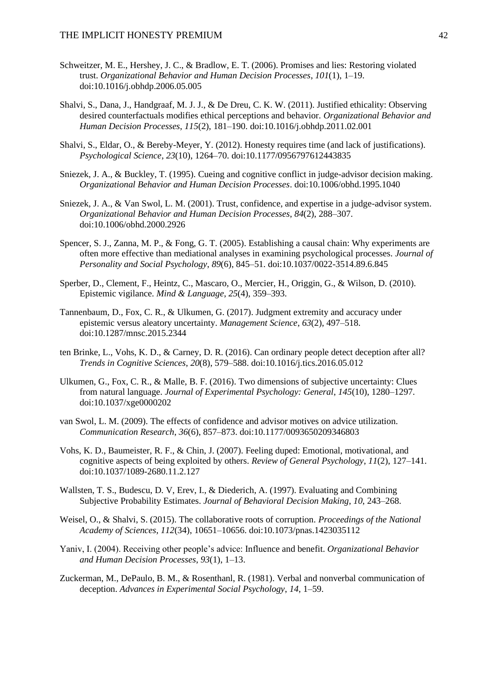- Schweitzer, M. E., Hershey, J. C., & Bradlow, E. T. (2006). Promises and lies: Restoring violated trust. *Organizational Behavior and Human Decision Processes*, *101*(1), 1–19. doi:10.1016/j.obhdp.2006.05.005
- Shalvi, S., Dana, J., Handgraaf, M. J. J., & De Dreu, C. K. W. (2011). Justified ethicality: Observing desired counterfactuals modifies ethical perceptions and behavior. *Organizational Behavior and Human Decision Processes*, *115*(2), 181–190. doi:10.1016/j.obhdp.2011.02.001
- Shalvi, S., Eldar, O., & Bereby-Meyer, Y. (2012). Honesty requires time (and lack of justifications). *Psychological Science*, *23*(10), 1264–70. doi:10.1177/0956797612443835
- Sniezek, J. A., & Buckley, T. (1995). Cueing and cognitive conflict in judge-advisor decision making. *Organizational Behavior and Human Decision Processes*. doi:10.1006/obhd.1995.1040
- Sniezek, J. A., & Van Swol, L. M. (2001). Trust, confidence, and expertise in a judge-advisor system. *Organizational Behavior and Human Decision Processes*, *84*(2), 288–307. doi:10.1006/obhd.2000.2926
- Spencer, S. J., Zanna, M. P., & Fong, G. T. (2005). Establishing a causal chain: Why experiments are often more effective than mediational analyses in examining psychological processes. *Journal of Personality and Social Psychology*, *89*(6), 845–51. doi:10.1037/0022-3514.89.6.845
- Sperber, D., Clement, F., Heintz, C., Mascaro, O., Mercier, H., Origgin, G., & Wilson, D. (2010). Epistemic vigilance. *Mind & Language*, *25*(4), 359–393.
- Tannenbaum, D., Fox, C. R., & Ulkumen, G. (2017). Judgment extremity and accuracy under epistemic versus aleatory uncertainty. *Management Science*, *63*(2), 497–518. doi:10.1287/mnsc.2015.2344
- ten Brinke, L., Vohs, K. D., & Carney, D. R. (2016). Can ordinary people detect deception after all? *Trends in Cognitive Sciences*, *20*(8), 579–588. doi:10.1016/j.tics.2016.05.012
- Ulkumen, G., Fox, C. R., & Malle, B. F. (2016). Two dimensions of subjective uncertainty: Clues from natural language. *Journal of Experimental Psychology: General*, *145*(10), 1280–1297. doi:10.1037/xge0000202
- van Swol, L. M. (2009). The effects of confidence and advisor motives on advice utilization. *Communication Research*, *36*(6), 857–873. doi:10.1177/0093650209346803
- Vohs, K. D., Baumeister, R. F., & Chin, J. (2007). Feeling duped: Emotional, motivational, and cognitive aspects of being exploited by others. *Review of General Psychology*, *11*(2), 127–141. doi:10.1037/1089-2680.11.2.127
- Wallsten, T. S., Budescu, D. V, Erev, I., & Diederich, A. (1997). Evaluating and Combining Subjective Probability Estimates. *Journal of Behavioral Decision Making*, *10*, 243–268.
- Weisel, O., & Shalvi, S. (2015). The collaborative roots of corruption. *Proceedings of the National Academy of Sciences*, *112*(34), 10651–10656. doi:10.1073/pnas.1423035112
- Yaniv, I. (2004). Receiving other people's advice: Influence and benefit. *Organizational Behavior and Human Decision Processes*, *93*(1), 1–13.
- Zuckerman, M., DePaulo, B. M., & Rosenthanl, R. (1981). Verbal and nonverbal communication of deception. *Advances in Experimental Social Psychology*, *14*, 1–59.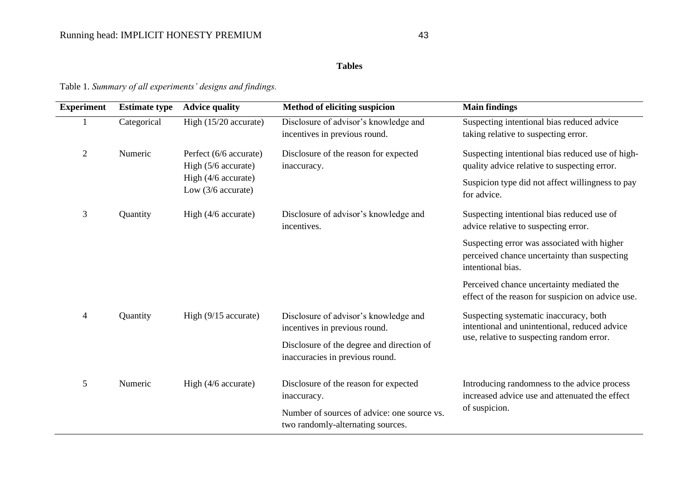## **Tables**

Table 1. *Summary of all experiments' designs and findings.* 

| <b>Experiment</b> | <b>Estimate type</b> | <b>Advice quality</b>                                                                      | Method of eliciting suspicion                                                    | <b>Main findings</b>                                                                                             |  |
|-------------------|----------------------|--------------------------------------------------------------------------------------------|----------------------------------------------------------------------------------|------------------------------------------------------------------------------------------------------------------|--|
|                   | Categorical          | High (15/20 accurate)                                                                      | Disclosure of advisor's knowledge and<br>incentives in previous round.           | Suspecting intentional bias reduced advice<br>taking relative to suspecting error.                               |  |
| $\overline{2}$    | Numeric              | Perfect (6/6 accurate)<br>High (5/6 accurate)<br>High (4/6 accurate)<br>Low (3/6 accurate) | Disclosure of the reason for expected<br>inaccuracy.                             | Suspecting intentional bias reduced use of high-<br>quality advice relative to suspecting error.                 |  |
|                   |                      |                                                                                            |                                                                                  | Suspicion type did not affect willingness to pay<br>for advice.                                                  |  |
| 3                 | Quantity             | High $(4/6$ accurate)                                                                      | Disclosure of advisor's knowledge and<br>incentives.                             | Suspecting intentional bias reduced use of<br>advice relative to suspecting error.                               |  |
|                   |                      |                                                                                            |                                                                                  | Suspecting error was associated with higher<br>perceived chance uncertainty than suspecting<br>intentional bias. |  |
|                   |                      |                                                                                            |                                                                                  | Perceived chance uncertainty mediated the<br>effect of the reason for suspicion on advice use.                   |  |
| $\overline{4}$    | Quantity             | High $(9/15$ accurate)                                                                     | Disclosure of advisor's knowledge and<br>incentives in previous round.           | Suspecting systematic inaccuracy, both<br>intentional and unintentional, reduced advice                          |  |
|                   |                      |                                                                                            | Disclosure of the degree and direction of<br>inaccuracies in previous round.     | use, relative to suspecting random error.                                                                        |  |
| 5                 | Numeric              | High (4/6 accurate)                                                                        | Disclosure of the reason for expected<br>inaccuracy.                             | Introducing randomness to the advice process<br>increased advice use and attenuated the effect                   |  |
|                   |                      |                                                                                            | Number of sources of advice: one source vs.<br>two randomly-alternating sources. | of suspicion.                                                                                                    |  |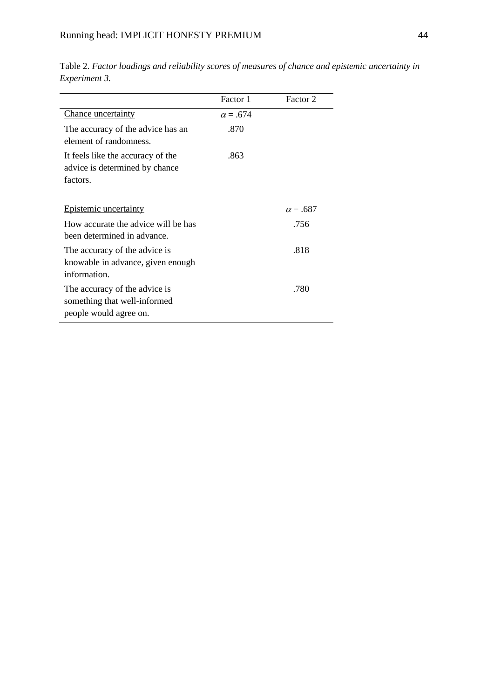|                                                                                         | Factor 1        | Factor 2        |
|-----------------------------------------------------------------------------------------|-----------------|-----------------|
| Chance uncertainty                                                                      | $\alpha = .674$ |                 |
| The accuracy of the advice has an<br>element of randomness.                             | .870            |                 |
| It feels like the accuracy of the<br>advice is determined by chance<br>factors.         | .863            |                 |
| <b>Epistemic uncertainty</b>                                                            |                 | $\alpha = .687$ |
| How accurate the advice will be has<br>been determined in advance.                      |                 | .756            |
| The accuracy of the advice is<br>knowable in advance, given enough<br>information.      |                 | .818            |
| The accuracy of the advice is<br>something that well-informed<br>people would agree on. |                 | .780            |

Table 2. *Factor loadings and reliability scores of measures of chance and epistemic uncertainty in Experiment 3.*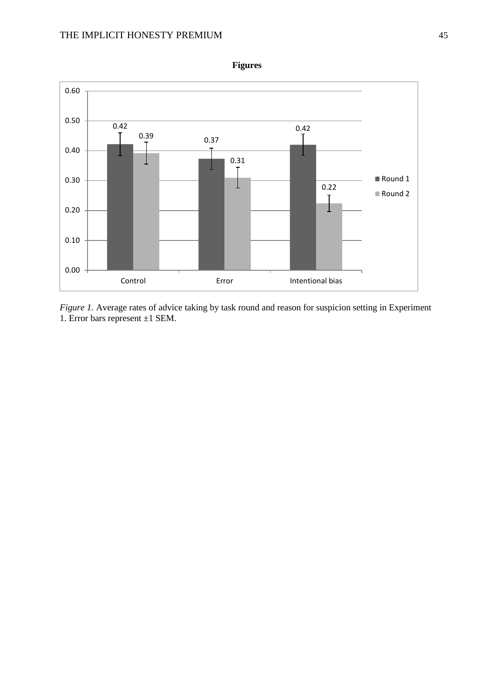

*Figure 1.* Average rates of advice taking by task round and reason for suspicion setting in Experiment 1. Error bars represent ±1 SEM.

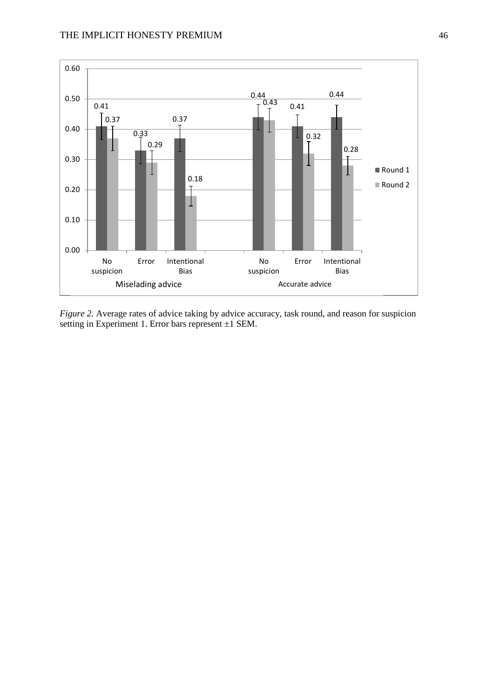

*Figure 2.* Average rates of advice taking by advice accuracy, task round, and reason for suspicion setting in Experiment 1. Error bars represent ±1 SEM.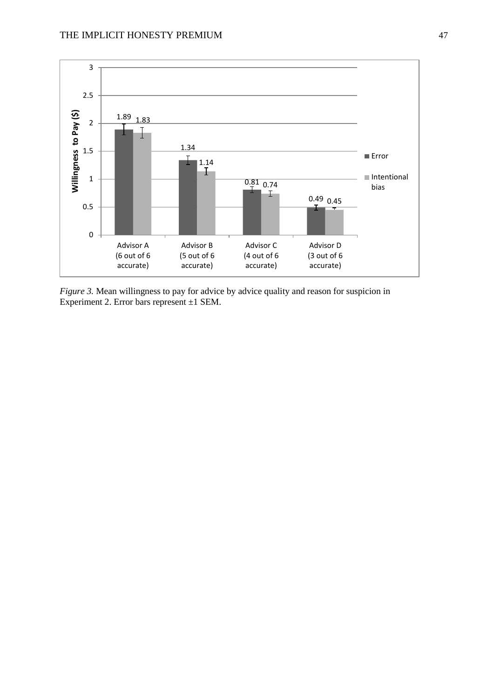

*Figure 3.* Mean willingness to pay for advice by advice quality and reason for suspicion in Experiment 2. Error bars represent ±1 SEM.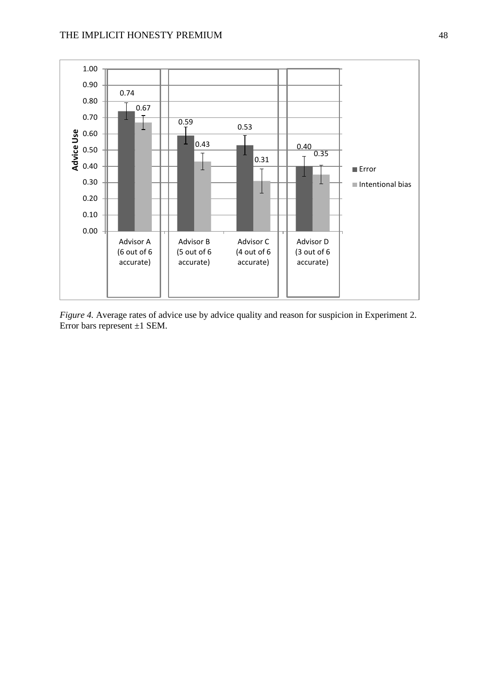

*Figure 4.* Average rates of advice use by advice quality and reason for suspicion in Experiment 2. Error bars represent  $\pm 1$  SEM.